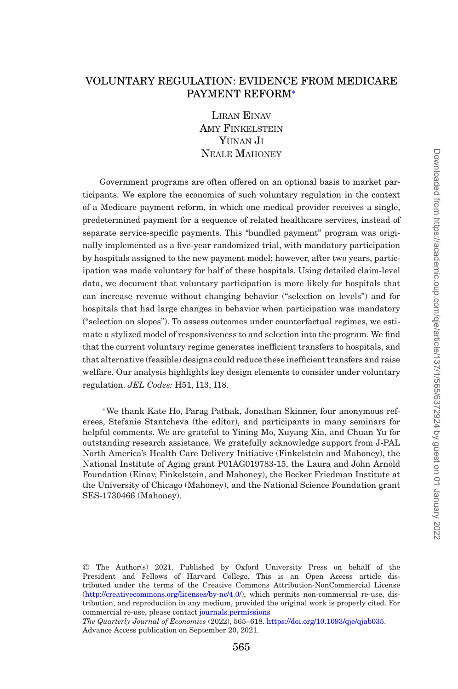# VOLUNTARY REGULATION: EVIDENCE FROM MEDICARE PAYMENT REFORM[∗](#page-0-0)

LIRAN EINAV AMY FINKELSTEIN Y**IINAN** JI NEALE MAHONEY

Government programs are often offered on an optional basis to market participants. We explore the economics of such voluntary regulation in the context of a Medicare payment reform, in which one medical provider receives a single, predetermined payment for a sequence of related healthcare services, instead of separate service-specific payments. This "bundled payment" program was originally implemented as a five-year randomized trial, with mandatory participation by hospitals assigned to the new payment model; however, after two years, participation was made voluntary for half of these hospitals. Using detailed claim-level data, we document that voluntary participation is more likely for hospitals that can increase revenue without changing behavior ("selection on levels") and for hospitals that had large changes in behavior when participation was mandatory ("selection on slopes"). To assess outcomes under counterfactual regimes, we estimate a stylized model of responsiveness to and selection into the program. We find that the current voluntary regime generates inefficient transfers to hospitals, and that alternative (feasible) designs could reduce these inefficient transfers and raise welfare. Our analysis highlights key design elements to consider under voluntary regulation. *JEL Codes:* H51, I13, I18.

<span id="page-0-0"></span>∗We thank Kate Ho, Parag Pathak, Jonathan Skinner, four anonymous referees, Stefanie Stantcheva (the editor), and participants in many seminars for helpful comments. We are grateful to Yining Mo, Xuyang Xia, and Chuan Yu for outstanding research assistance. We gratefully acknowledge support from J-PAL North America's Health Care Delivery Initiative (Finkelstein and Mahoney), the National Institute of Aging grant P01AG019783-15, the Laura and John Arnold Foundation (Einav, Finkelstein, and Mahoney), the Becker Friedman Institute at the University of Chicago (Mahoney), and the National Science Foundation grant SES-1730466 (Mahoney).

*The Quarterly Journal of Economics* (2022), 565–618. [https://doi.org/10.1093/qje/qjab035.](https://doi.org/10.1093/qje/qjab035) Advance Access publication on September 20, 2021.

<sup>C</sup> The Author(s) 2021. Published by Oxford University Press on behalf of the President and Fellows of Harvard College. This is an Open Access article distributed under the terms of the Creative Commons Attribution-NonCommercial License [\(http://creativecommons.org/licenses/by-nc/4.0/\)](http://creativecommons.org/licenses/by-nc/4.0/), which permits non-commercial re-use, distribution, and reproduction in any medium, provided the original work is properly cited. For commercial re-use, please contact [journals.permissions](mailto:journals.permissions)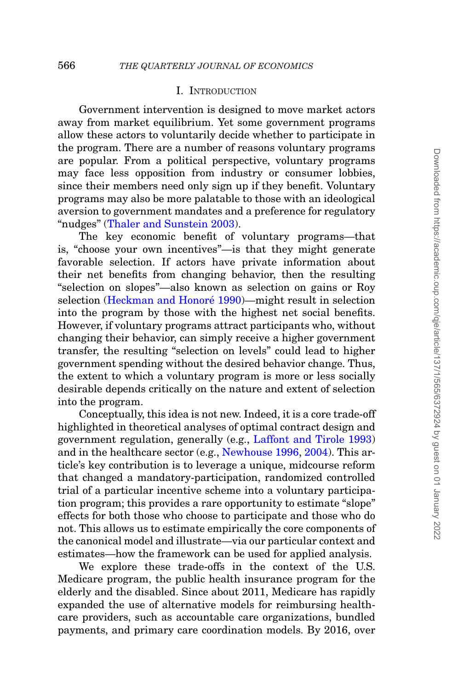# I. INTRODUCTION

Government intervention is designed to move market actors away from market equilibrium. Yet some government programs allow these actors to voluntarily decide whether to participate in the program. There are a number of reasons voluntary programs are popular. From a political perspective, voluntary programs may face less opposition from industry or consumer lobbies, since their members need only sign up if they benefit. Voluntary programs may also be more palatable to those with an ideological aversion to government mandates and a preference for regulatory "nudges" [\(Thaler and Sunstein 2003\)](#page-53-0).

The key economic benefit of voluntary programs—that is, "choose your own incentives"—is that they might generate favorable selection. If actors have private information about their net benefits from changing behavior, then the resulting "selection on slopes"—also known as selection on gains or Roy selection (Heckman and Honoré 1990)—might result in selection into the program by those with the highest net social benefits. However, if voluntary programs attract participants who, without changing their behavior, can simply receive a higher government transfer, the resulting "selection on levels" could lead to higher government spending without the desired behavior change. Thus, the extent to which a voluntary program is more or less socially desirable depends critically on the nature and extent of selection into the program.

Conceptually, this idea is not new. Indeed, it is a core trade-off highlighted in theoretical analyses of optimal contract design and government regulation, generally (e.g., [Laffont and Tirole 1993\)](#page-52-1) and in the healthcare sector (e.g., [Newhouse 1996,](#page-53-1) [2004\)](#page-53-2). This article's key contribution is to leverage a unique, midcourse reform that changed a mandatory-participation, randomized controlled trial of a particular incentive scheme into a voluntary participation program; this provides a rare opportunity to estimate "slope" effects for both those who choose to participate and those who do not. This allows us to estimate empirically the core components of the canonical model and illustrate—via our particular context and estimates—how the framework can be used for applied analysis.

We explore these trade-offs in the context of the U.S. Medicare program, the public health insurance program for the elderly and the disabled. Since about 2011, Medicare has rapidly expanded the use of alternative models for reimbursing healthcare providers, such as accountable care organizations, bundled payments, and primary care coordination models. By 2016, over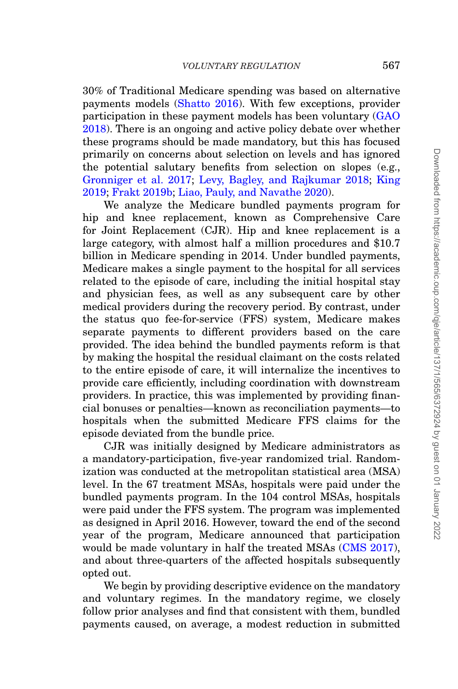30% of Traditional Medicare spending was based on alternative payments models [\(Shatto 2016\)](#page-53-3). With few exceptions, provider participation in these payment models has been voluntary [\(GAO](#page-52-2) [2018\)](#page-52-2). There is an ongoing and active policy debate over whether these programs should be made mandatory, but this has focused primarily on concerns about selection on levels and has ignored the potential salutary benefits from selection on slopes (e.g., [Gronniger et al. 2017;](#page-52-3) [Levy, Bagley, and Rajkumar 2018;](#page-52-4) [King](#page-52-5) [2019;](#page-52-5) [Frakt 2019b;](#page-51-0) [Liao, Pauly, and Navathe 2020\)](#page-52-6).

We analyze the Medicare bundled payments program for hip and knee replacement, known as Comprehensive Care for Joint Replacement (CJR). Hip and knee replacement is a large category, with almost half a million procedures and \$10.7 billion in Medicare spending in 2014. Under bundled payments, Medicare makes a single payment to the hospital for all services related to the episode of care, including the initial hospital stay and physician fees, as well as any subsequent care by other medical providers during the recovery period. By contrast, under the status quo fee-for-service (FFS) system, Medicare makes separate payments to different providers based on the care provided. The idea behind the bundled payments reform is that by making the hospital the residual claimant on the costs related to the entire episode of care, it will internalize the incentives to provide care efficiently, including coordination with downstream providers. In practice, this was implemented by providing financial bonuses or penalties—known as reconciliation payments—to hospitals when the submitted Medicare FFS claims for the episode deviated from the bundle price.

CJR was initially designed by Medicare administrators as a mandatory-participation, five-year randomized trial. Randomization was conducted at the metropolitan statistical area (MSA) level. In the 67 treatment MSAs, hospitals were paid under the bundled payments program. In the 104 control MSAs, hospitals were paid under the FFS system. The program was implemented as designed in April 2016. However, toward the end of the second year of the program, Medicare announced that participation would be made voluntary in half the treated MSAs [\(CMS 2017\)](#page-50-0), and about three-quarters of the affected hospitals subsequently opted out.

We begin by providing descriptive evidence on the mandatory and voluntary regimes. In the mandatory regime, we closely follow prior analyses and find that consistent with them, bundled payments caused, on average, a modest reduction in submitted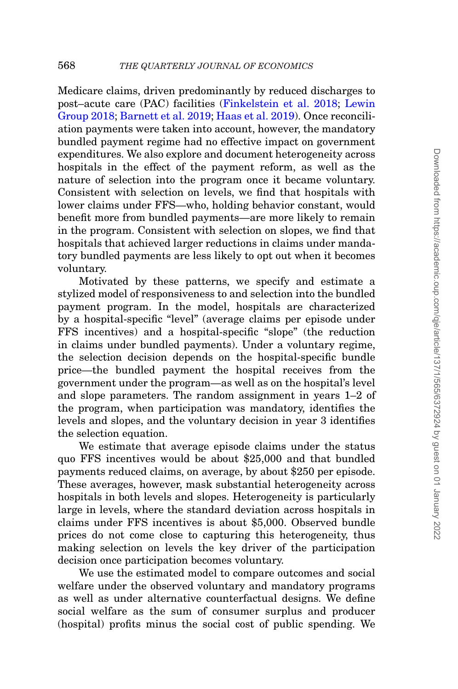Medicare claims, driven predominantly by reduced discharges to post–acute care (PAC) facilities [\(Finkelstein et al. 2018;](#page-51-1) [Lewin](#page-52-7) [Group 2018;](#page-52-7) [Barnett et al. 2019;](#page-50-1) [Haas et al. 2019\)](#page-52-8). Once reconciliation payments were taken into account, however, the mandatory bundled payment regime had no effective impact on government expenditures. We also explore and document heterogeneity across hospitals in the effect of the payment reform, as well as the nature of selection into the program once it became voluntary. Consistent with selection on levels, we find that hospitals with lower claims under FFS—who, holding behavior constant, would benefit more from bundled payments—are more likely to remain in the program. Consistent with selection on slopes, we find that hospitals that achieved larger reductions in claims under mandatory bundled payments are less likely to opt out when it becomes voluntary.

Motivated by these patterns, we specify and estimate a stylized model of responsiveness to and selection into the bundled payment program. In the model, hospitals are characterized by a hospital-specific "level" (average claims per episode under FFS incentives) and a hospital-specific "slope" (the reduction in claims under bundled payments). Under a voluntary regime, the selection decision depends on the hospital-specific bundle price—the bundled payment the hospital receives from the government under the program—as well as on the hospital's level and slope parameters. The random assignment in years 1–2 of the program, when participation was mandatory, identifies the levels and slopes, and the voluntary decision in year 3 identifies the selection equation.

We estimate that average episode claims under the status quo FFS incentives would be about \$25,000 and that bundled payments reduced claims, on average, by about \$250 per episode. These averages, however, mask substantial heterogeneity across hospitals in both levels and slopes. Heterogeneity is particularly large in levels, where the standard deviation across hospitals in claims under FFS incentives is about \$5,000. Observed bundle prices do not come close to capturing this heterogeneity, thus making selection on levels the key driver of the participation decision once participation becomes voluntary.

We use the estimated model to compare outcomes and social welfare under the observed voluntary and mandatory programs as well as under alternative counterfactual designs. We define social welfare as the sum of consumer surplus and producer (hospital) profits minus the social cost of public spending. We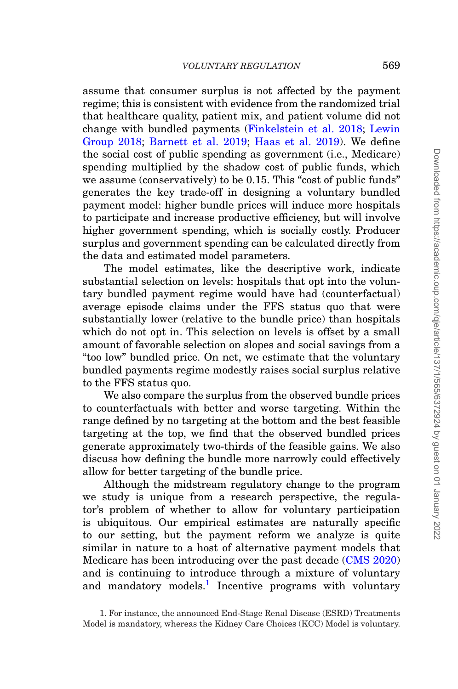assume that consumer surplus is not affected by the payment regime; this is consistent with evidence from the randomized trial that healthcare quality, patient mix, and patient volume did not change with bundled payments [\(Finkelstein et al. 2018;](#page-51-1) [Lewin](#page-52-7) [Group 2018;](#page-52-7) [Barnett et al. 2019;](#page-50-1) [Haas et al. 2019\)](#page-52-8). We define the social cost of public spending as government (i.e., Medicare) spending multiplied by the shadow cost of public funds, which we assume (conservatively) to be 0.15. This "cost of public funds" generates the key trade-off in designing a voluntary bundled payment model: higher bundle prices will induce more hospitals to participate and increase productive efficiency, but will involve higher government spending, which is socially costly. Producer surplus and government spending can be calculated directly from the data and estimated model parameters.

The model estimates, like the descriptive work, indicate substantial selection on levels: hospitals that opt into the voluntary bundled payment regime would have had (counterfactual) average episode claims under the FFS status quo that were substantially lower (relative to the bundle price) than hospitals which do not opt in. This selection on levels is offset by a small amount of favorable selection on slopes and social savings from a "too low" bundled price. On net, we estimate that the voluntary bundled payments regime modestly raises social surplus relative to the FFS status quo.

We also compare the surplus from the observed bundle prices to counterfactuals with better and worse targeting. Within the range defined by no targeting at the bottom and the best feasible targeting at the top, we find that the observed bundled prices generate approximately two-thirds of the feasible gains. We also discuss how defining the bundle more narrowly could effectively allow for better targeting of the bundle price.

Although the midstream regulatory change to the program we study is unique from a research perspective, the regulator's problem of whether to allow for voluntary participation is ubiquitous. Our empirical estimates are naturally specific to our setting, but the payment reform we analyze is quite similar in nature to a host of alternative payment models that Medicare has been introducing over the past decade [\(CMS 2020\)](#page-50-2) and is continuing to introduce through a mixture of voluntary and mandatory models.<sup>1</sup> Incentive programs with voluntary

<span id="page-4-0"></span>1. For instance, the announced End-Stage Renal Disease (ESRD) Treatments Model is mandatory, whereas the Kidney Care Choices (KCC) Model is voluntary.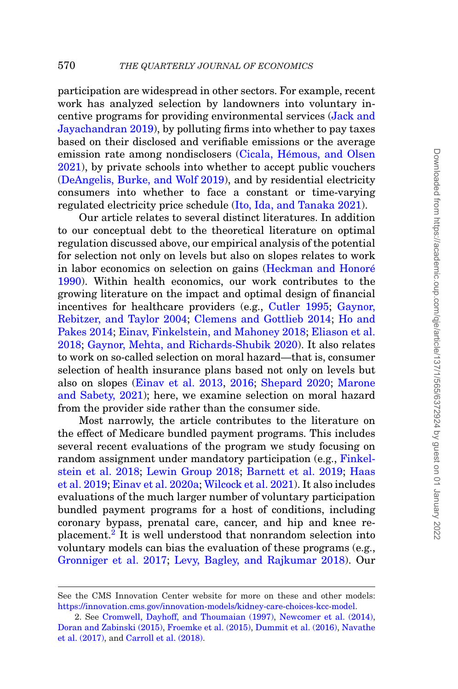participation are widespread in other sectors. For example, recent work has analyzed selection by landowners into voluntary incentive programs for providing environmental services [\(Jack and](#page-52-9) [Jayachandran 2019\)](#page-52-9), by polluting firms into whether to pay taxes based on their disclosed and verifiable emissions or the average emission rate among nondisclosers (Cicala, Hémous, and Olsen [2021\)](#page-50-3), by private schools into whether to accept public vouchers [\(DeAngelis, Burke, and Wolf 2019\)](#page-51-2), and by residential electricity consumers into whether to face a constant or time-varying regulated electricity price schedule [\(Ito, Ida, and Tanaka 2021\)](#page-52-10).

Our article relates to several distinct literatures. In addition to our conceptual debt to the theoretical literature on optimal regulation discussed above, our empirical analysis of the potential for selection not only on levels but also on slopes relates to work in labor economics on selection on gains (Heckman and Honoré [1990\)](#page-52-0). Within health economics, our work contributes to the growing literature on the impact and optimal design of financial incentives for healthcare providers (e.g., [Cutler 1995;](#page-50-4) [Gaynor,](#page-52-11) [Rebitzer, and Taylor 2004;](#page-52-11) [Clemens and Gottlieb 2014;](#page-50-5) [Ho and](#page-52-12) [Pakes 2014;](#page-52-12) [Einav, Finkelstein, and Mahoney 2018;](#page-51-3) [Eliason et al.](#page-51-4) [2018;](#page-51-4) [Gaynor, Mehta, and Richards-Shubik 2020\)](#page-52-13). It also relates to work on so-called selection on moral hazard—that is, consumer selection of health insurance plans based not only on levels but also on slopes [\(Einav et al. 2013,](#page-51-5) [2016;](#page-51-6) [Shepard 2020;](#page-53-4) [Marone](#page-52-14) [and Sabety, 2021\)](#page-52-14); here, we examine selection on moral hazard from the provider side rather than the consumer side.

Most narrowly, the article contributes to the literature on the effect of Medicare bundled payment programs. This includes several recent evaluations of the program we study focusing on random assignment under mandatory participation (e.g., [Finkel](#page-51-1)[stein et al. 2018;](#page-51-1) [Lewin Group 2018;](#page-52-7) [Barnett et al. 2019;](#page-50-1) [Haas](#page-52-8) [et al. 2019;](#page-52-8) [Einav et al. 2020a;](#page-51-7) [Wilcock et al. 2021\)](#page-53-5). It also includes evaluations of the much larger number of voluntary participation bundled payment programs for a host of conditions, including coronary bypass, prenatal care, cancer, and hip and knee replacement[.2](#page-5-0) It is well understood that nonrandom selection into voluntary models can bias the evaluation of these programs (e.g., [Gronniger et al. 2017;](#page-52-3) [Levy, Bagley, and Rajkumar 2018\)](#page-52-4). Our

See the CMS Innovation Center website for more on these and other models: [https://innovation.cms.gov/innovation-models/kidney-care-choices-kcc-model.](https://innovation.cms.gov/innovation-models/kidney-care-choices-kcc-model)

<span id="page-5-0"></span><sup>2.</sup> See [Cromwell, Dayhoff, and Thoumaian \(1997\),](#page-50-6) [Newcomer et al. \(2014\),](#page-52-15) [Doran and Zabinski \(2015\),](#page-51-8) [Froemke et al. \(2015\),](#page-51-9) [Dummit et al. \(2016\),](#page-51-10) [Navathe](#page-52-16) [et al. \(2017\),](#page-52-16) and [Carroll et al. \(2018\).](#page-50-7)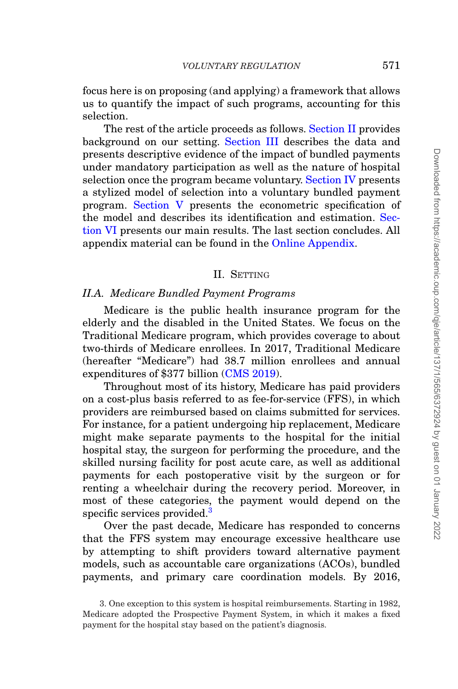focus here is on proposing (and applying) a framework that allows us to quantify the impact of such programs, accounting for this selection.

The rest of the article proceeds as follows. [Section II](#page-6-0) provides background on our setting. [Section III](#page-12-0) describes the data and presents descriptive evidence of the impact of bundled payments under mandatory participation as well as the nature of hospital selection once the program became voluntary. [Section IV](#page-25-0) presents a stylized model of selection into a voluntary bundled payment program. [Section V](#page-32-0) presents the econometric specification of the model and describes its identification and estimation. [Sec](#page-40-0)[tion VI](#page-40-0) presents our main results. The last section concludes. All appendix material can be found in the [Online Appendix.](file:qje.oxfordjournals.org)

# <span id="page-6-0"></span>II. SETTING

# *II.A. Medicare Bundled Payment Programs*

Medicare is the public health insurance program for the elderly and the disabled in the United States. We focus on the Traditional Medicare program, which provides coverage to about two-thirds of Medicare enrollees. In 2017, Traditional Medicare (hereafter "Medicare") had 38.7 million enrollees and annual expenditures of \$377 billion [\(CMS 2019\)](#page-50-8).

Throughout most of its history, Medicare has paid providers on a cost-plus basis referred to as fee-for-service (FFS), in which providers are reimbursed based on claims submitted for services. For instance, for a patient undergoing hip replacement, Medicare might make separate payments to the hospital for the initial hospital stay, the surgeon for performing the procedure, and the skilled nursing facility for post acute care, as well as additional payments for each postoperative visit by the surgeon or for renting a wheelchair during the recovery period. Moreover, in most of these categories, the payment would depend on the specific services provided.<sup>3</sup>

Over the past decade, Medicare has responded to concerns that the FFS system may encourage excessive healthcare use by attempting to shift providers toward alternative payment models, such as accountable care organizations (ACOs), bundled payments, and primary care coordination models. By 2016,

<span id="page-6-1"></span><sup>3.</sup> One exception to this system is hospital reimbursements. Starting in 1982, Medicare adopted the Prospective Payment System, in which it makes a fixed payment for the hospital stay based on the patient's diagnosis.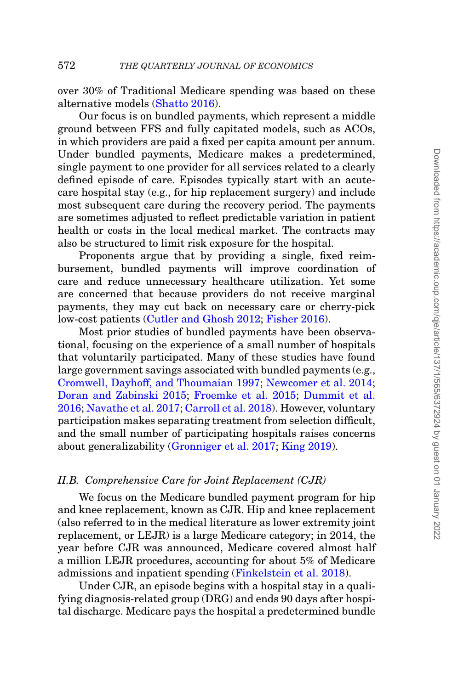over 30% of Traditional Medicare spending was based on these alternative models [\(Shatto 2016\)](#page-53-3).

Our focus is on bundled payments, which represent a middle ground between FFS and fully capitated models, such as ACOs, in which providers are paid a fixed per capita amount per annum. Under bundled payments, Medicare makes a predetermined, single payment to one provider for all services related to a clearly defined episode of care. Episodes typically start with an acutecare hospital stay (e.g., for hip replacement surgery) and include most subsequent care during the recovery period. The payments are sometimes adjusted to reflect predictable variation in patient health or costs in the local medical market. The contracts may also be structured to limit risk exposure for the hospital.

Proponents argue that by providing a single, fixed reimbursement, bundled payments will improve coordination of care and reduce unnecessary healthcare utilization. Yet some are concerned that because providers do not receive marginal payments, they may cut back on necessary care or cherry-pick low-cost patients [\(Cutler and Ghosh 2012;](#page-51-11) [Fisher 2016\)](#page-51-12).

Most prior studies of bundled payments have been observational, focusing on the experience of a small number of hospitals that voluntarily participated. Many of these studies have found large government savings associated with bundled payments (e.g., [Cromwell, Dayhoff, and Thoumaian 1997;](#page-50-6) [Newcomer et al. 2014;](#page-52-15) [Doran and Zabinski 2015;](#page-51-8) [Froemke et al. 2015;](#page-51-9) [Dummit et al.](#page-51-10) [2016;](#page-51-10) [Navathe et al. 2017;](#page-52-16) [Carroll et al. 2018\)](#page-50-7). However, voluntary participation makes separating treatment from selection difficult, and the small number of participating hospitals raises concerns about generalizability [\(Gronniger et al. 2017;](#page-52-3) [King 2019\)](#page-52-5).

#### *II.B. Comprehensive Care for Joint Replacement (CJR)*

<span id="page-7-0"></span>We focus on the Medicare bundled payment program for hip and knee replacement, known as CJR. Hip and knee replacement (also referred to in the medical literature as lower extremity joint replacement, or LEJR) is a large Medicare category; in 2014, the year before CJR was announced, Medicare covered almost half a million LEJR procedures, accounting for about 5% of Medicare admissions and inpatient spending [\(Finkelstein et al. 2018\)](#page-51-1).

Under CJR, an episode begins with a hospital stay in a qualifying diagnosis-related group (DRG) and ends 90 days after hospital discharge. Medicare pays the hospital a predetermined bundle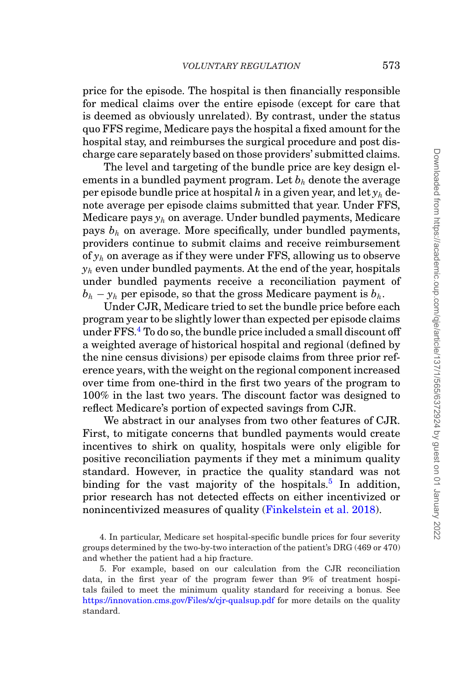price for the episode. The hospital is then financially responsible for medical claims over the entire episode (except for care that is deemed as obviously unrelated). By contrast, under the status quo FFS regime, Medicare pays the hospital a fixed amount for the hospital stay, and reimburses the surgical procedure and post discharge care separately based on those providers' submitted claims.

The level and targeting of the bundle price are key design elements in a bundled payment program. Let  $b<sub>h</sub>$  denote the average per episode bundle price at hospital *h* in a given year, and let *yh* denote average per episode claims submitted that year. Under FFS, Medicare pays *yh* on average. Under bundled payments, Medicare pays *bh* on average. More specifically, under bundled payments, providers continue to submit claims and receive reimbursement of *yh* on average as if they were under FFS, allowing us to observe  $y_h$  even under bundled payments. At the end of the year, hospitals under bundled payments receive a reconciliation payment of  $b_h - y_h$  per episode, so that the gross Medicare payment is  $b_h$ .

Under CJR, Medicare tried to set the bundle price before each program year to be slightly lower than expected per episode claims under FFS[.4](#page-8-0) To do so, the bundle price included a small discount off a weighted average of historical hospital and regional (defined by the nine census divisions) per episode claims from three prior reference years, with the weight on the regional component increased over time from one-third in the first two years of the program to 100% in the last two years. The discount factor was designed to reflect Medicare's portion of expected savings from CJR.

We abstract in our analyses from two other features of CJR. First, to mitigate concerns that bundled payments would create incentives to shirk on quality, hospitals were only eligible for positive reconciliation payments if they met a minimum quality standard. However, in practice the quality standard was not binding for the vast majority of the hospitals.<sup>[5](#page-8-1)</sup> In addition, prior research has not detected effects on either incentivized or nonincentivized measures of quality [\(Finkelstein et al. 2018\)](#page-51-1).

<span id="page-8-0"></span><sup>4.</sup> In particular, Medicare set hospital-specific bundle prices for four severity groups determined by the two-by-two interaction of the patient's DRG (469 or 470) and whether the patient had a hip fracture.

<span id="page-8-1"></span><sup>5.</sup> For example, based on our calculation from the CJR reconciliation data, in the first year of the program fewer than 9% of treatment hospitals failed to meet the minimum quality standard for receiving a bonus. See <https://innovation.cms.gov/Files/x/cjr-qualsup.pdf> for more details on the quality standard.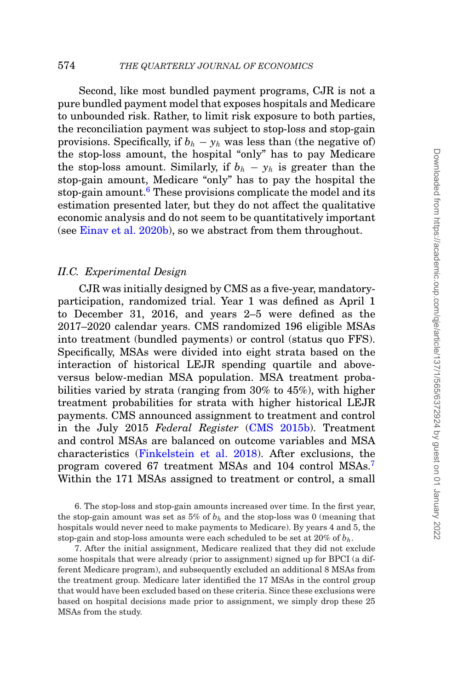Second, like most bundled payment programs, CJR is not a pure bundled payment model that exposes hospitals and Medicare to unbounded risk. Rather, to limit risk exposure to both parties, the reconciliation payment was subject to stop-loss and stop-gain provisions. Specifically, if  $b_h - y_h$  was less than (the negative of) the stop-loss amount, the hospital "only" has to pay Medicare the stop-loss amount. Similarly, if  $b_h - y_h$  is greater than the stop-gain amount, Medicare "only" has to pay the hospital the stop-gain amount.<sup>[6](#page-9-0)</sup> These provisions complicate the model and its estimation presented later, but they do not affect the qualitative economic analysis and do not seem to be quantitatively important (see [Einav et al. 2020b\)](#page-51-13), so we abstract from them throughout.

# *II.C. Experimental Design*

CJR was initially designed by CMS as a five-year, mandatoryparticipation, randomized trial. Year 1 was defined as April 1 to December 31, 2016, and years 2–5 were defined as the 2017–2020 calendar years. CMS randomized 196 eligible MSAs into treatment (bundled payments) or control (status quo FFS). Specifically, MSAs were divided into eight strata based on the interaction of historical LEJR spending quartile and aboveversus below-median MSA population. MSA treatment probabilities varied by strata (ranging from 30% to 45%), with higher treatment probabilities for strata with higher historical LEJR payments. CMS announced assignment to treatment and control in the July 2015 *Federal Register* [\(CMS 2015b\)](#page-50-9). Treatment and control MSAs are balanced on outcome variables and MSA characteristics [\(Finkelstein et al. 2018\)](#page-51-1). After exclusions, the program covered 67 treatment MSAs and 104 control MSAs.[7](#page-9-1) Within the 171 MSAs assigned to treatment or control, a small

<span id="page-9-0"></span>6. The stop-loss and stop-gain amounts increased over time. In the first year, the stop-gain amount was set as  $5\%$  of  $b_h$  and the stop-loss was 0 (meaning that hospitals would never need to make payments to Medicare). By years 4 and 5, the stop-gain and stop-loss amounts were each scheduled to be set at 20% of *bh*.

<span id="page-9-1"></span>7. After the initial assignment, Medicare realized that they did not exclude some hospitals that were already (prior to assignment) signed up for BPCI (a different Medicare program), and subsequently excluded an additional 8 MSAs from the treatment group. Medicare later identified the 17 MSAs in the control group that would have been excluded based on these criteria. Since these exclusions were based on hospital decisions made prior to assignment, we simply drop these 25 MSAs from the study.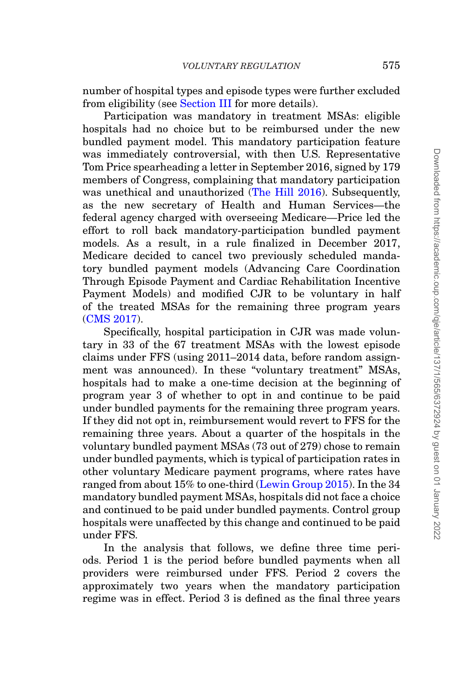number of hospital types and episode types were further excluded from eligibility (see [Section III](#page-12-0) for more details).

Participation was mandatory in treatment MSAs: eligible hospitals had no choice but to be reimbursed under the new bundled payment model. This mandatory participation feature was immediately controversial, with then U.S. Representative Tom Price spearheading a letter in September 2016, signed by 179 members of Congress, complaining that mandatory participation was unethical and unauthorized [\(The Hill 2016\)](#page-53-6). Subsequently, as the new secretary of Health and Human Services—the federal agency charged with overseeing Medicare—Price led the effort to roll back mandatory-participation bundled payment models. As a result, in a rule finalized in December 2017, Medicare decided to cancel two previously scheduled mandatory bundled payment models (Advancing Care Coordination Through Episode Payment and Cardiac Rehabilitation Incentive Payment Models) and modified CJR to be voluntary in half of the treated MSAs for the remaining three program years [\(CMS 2017\)](#page-50-0).

Specifically, hospital participation in CJR was made voluntary in 33 of the 67 treatment MSAs with the lowest episode claims under FFS (using 2011–2014 data, before random assignment was announced). In these "voluntary treatment" MSAs, hospitals had to make a one-time decision at the beginning of program year 3 of whether to opt in and continue to be paid under bundled payments for the remaining three program years. If they did not opt in, reimbursement would revert to FFS for the remaining three years. About a quarter of the hospitals in the voluntary bundled payment MSAs (73 out of 279) chose to remain under bundled payments, which is typical of participation rates in other voluntary Medicare payment programs, where rates have ranged from about 15% to one-third [\(Lewin Group 2015\)](#page-52-17). In the 34 mandatory bundled payment MSAs, hospitals did not face a choice and continued to be paid under bundled payments. Control group hospitals were unaffected by this change and continued to be paid under FFS.

In the analysis that follows, we define three time periods. Period 1 is the period before bundled payments when all providers were reimbursed under FFS. Period 2 covers the approximately two years when the mandatory participation regime was in effect. Period 3 is defined as the final three years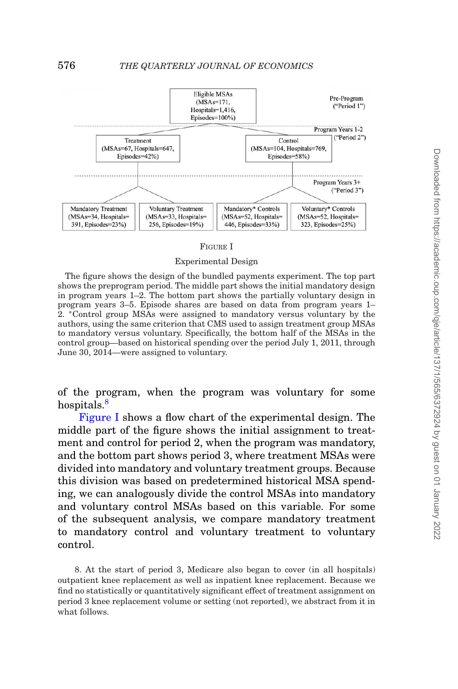<span id="page-11-1"></span>

#### FIGURE I

Experimental Design

The figure shows the design of the bundled payments experiment. The top part shows the preprogram period. The middle part shows the initial mandatory design in program years 1–2. The bottom part shows the partially voluntary design in program years 3–5. Episode shares are based on data from program years 1– 2. ∗Control group MSAs were assigned to mandatory versus voluntary by the authors, using the same criterion that CMS used to assign treatment group MSAs to mandatory versus voluntary. Specifically, the bottom half of the MSAs in the control group—based on historical spending over the period July 1, 2011, through June 30, 2014—were assigned to voluntary.

of the program, when the program was voluntary for some hospitals.<sup>[8](#page-11-0)</sup>

[Figure I](#page-11-1) shows a flow chart of the experimental design. The middle part of the figure shows the initial assignment to treatment and control for period 2, when the program was mandatory, and the bottom part shows period 3, where treatment MSAs were divided into mandatory and voluntary treatment groups. Because this division was based on predetermined historical MSA spending, we can analogously divide the control MSAs into mandatory and voluntary control MSAs based on this variable. For some of the subsequent analysis, we compare mandatory treatment to mandatory control and voluntary treatment to voluntary control.

<span id="page-11-0"></span>8. At the start of period 3, Medicare also began to cover (in all hospitals) outpatient knee replacement as well as inpatient knee replacement. Because we find no statistically or quantitatively significant effect of treatment assignment on period 3 knee replacement volume or setting (not reported), we abstract from it in what follows.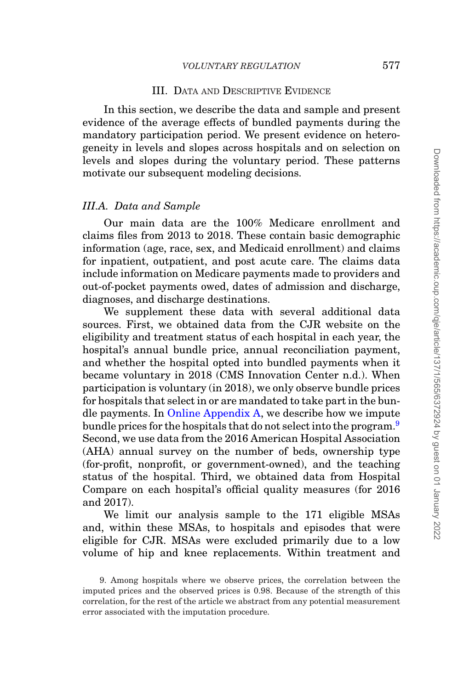# <span id="page-12-0"></span>III. DATA AND DESCRIPTIVE EVIDENCE

In this section, we describe the data and sample and present evidence of the average effects of bundled payments during the mandatory participation period. We present evidence on heterogeneity in levels and slopes across hospitals and on selection on levels and slopes during the voluntary period. These patterns motivate our subsequent modeling decisions.

#### *III.A. Data and Sample*

Our main data are the 100% Medicare enrollment and claims files from 2013 to 2018. These contain basic demographic information (age, race, sex, and Medicaid enrollment) and claims for inpatient, outpatient, and post acute care. The claims data include information on Medicare payments made to providers and out-of-pocket payments owed, dates of admission and discharge, diagnoses, and discharge destinations.

We supplement these data with several additional data sources. First, we obtained data from the CJR website on the eligibility and treatment status of each hospital in each year, the hospital's annual bundle price, annual reconciliation payment, and whether the hospital opted into bundled payments when it became voluntary in 2018 (CMS Innovation Center n.d.). When participation is voluntary (in 2018), we only observe bundle prices for hospitals that select in or are mandated to take part in the bundle payments. In [Online Appendix A,](file:qje.oxfordjournals.org) we describe how we impute bundle prices for the hospitals that do not select into the program.<sup>[9](#page-12-1)</sup> Second, we use data from the 2016 American Hospital Association (AHA) annual survey on the number of beds, ownership type (for-profit, nonprofit, or government-owned), and the teaching status of the hospital. Third, we obtained data from Hospital Compare on each hospital's official quality measures (for 2016 and 2017).

We limit our analysis sample to the 171 eligible MSAs and, within these MSAs, to hospitals and episodes that were eligible for CJR. MSAs were excluded primarily due to a low volume of hip and knee replacements. Within treatment and

<span id="page-12-1"></span><sup>9.</sup> Among hospitals where we observe prices, the correlation between the imputed prices and the observed prices is 0.98. Because of the strength of this correlation, for the rest of the article we abstract from any potential measurement error associated with the imputation procedure.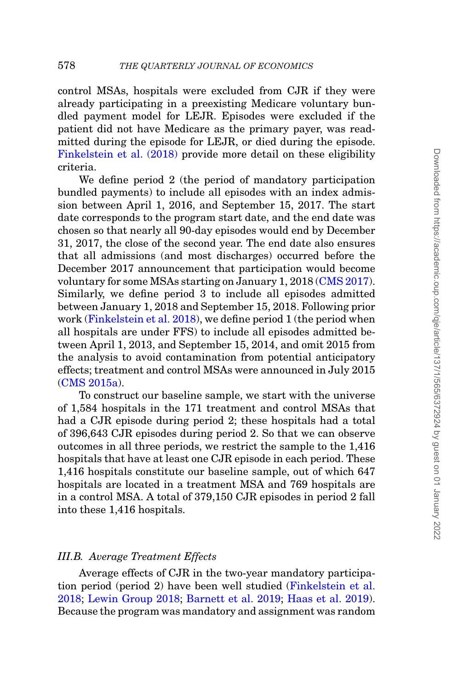control MSAs, hospitals were excluded from CJR if they were already participating in a preexisting Medicare voluntary bundled payment model for LEJR. Episodes were excluded if the patient did not have Medicare as the primary payer, was readmitted during the episode for LEJR, or died during the episode. [Finkelstein et al. \(2018\)](#page-51-1) provide more detail on these eligibility criteria.

We define period 2 (the period of mandatory participation bundled payments) to include all episodes with an index admission between April 1, 2016, and September 15, 2017. The start date corresponds to the program start date, and the end date was chosen so that nearly all 90-day episodes would end by December 31, 2017, the close of the second year. The end date also ensures that all admissions (and most discharges) occurred before the December 2017 announcement that participation would become voluntary for some MSAs starting on January 1, 2018 [\(CMS 2017\)](#page-50-0). Similarly, we define period 3 to include all episodes admitted between January 1, 2018 and September 15, 2018. Following prior work [\(Finkelstein et al. 2018\)](#page-51-1), we define period 1 (the period when all hospitals are under FFS) to include all episodes admitted between April 1, 2013, and September 15, 2014, and omit 2015 from the analysis to avoid contamination from potential anticipatory effects; treatment and control MSAs were announced in July 2015 [\(CMS 2015a\)](#page-50-10).

To construct our baseline sample, we start with the universe of 1,584 hospitals in the 171 treatment and control MSAs that had a CJR episode during period 2; these hospitals had a total of 396,643 CJR episodes during period 2. So that we can observe outcomes in all three periods, we restrict the sample to the 1,416 hospitals that have at least one CJR episode in each period. These 1,416 hospitals constitute our baseline sample, out of which 647 hospitals are located in a treatment MSA and 769 hospitals are in a control MSA. A total of 379,150 CJR episodes in period 2 fall into these 1,416 hospitals.

#### *III.B. Average Treatment Effects*

Average effects of CJR in the two-year mandatory participation period (period 2) have been well studied [\(Finkelstein et al.](#page-51-1) [2018;](#page-51-1) [Lewin Group 2018;](#page-52-7) [Barnett et al. 2019;](#page-50-1) [Haas et al. 2019\)](#page-52-8). Because the program was mandatory and assignment was random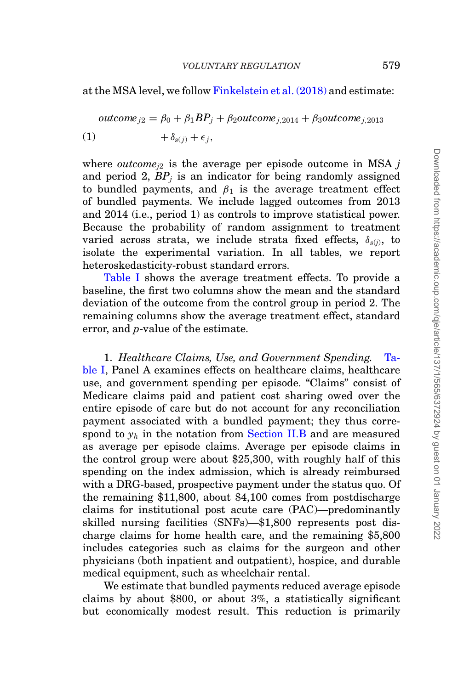at the MSA level, we follow [Finkelstein et al. \(2018\)](#page-51-1) and estimate:

$$
outcome_{j2} = \beta_0 + \beta_1 BP_j + \beta_2 outcome_{j,2014} + \beta_3 outcome_{j,2013}
$$
  
(1) 
$$
+ \delta_{s(j)} + \epsilon_j,
$$

<span id="page-14-0"></span>where *outcome*<sub>*i*2</sub> is the average per episode outcome in MSA  $j$ and period 2,  $BP_i$  is an indicator for being randomly assigned to bundled payments, and  $\beta_1$  is the average treatment effect of bundled payments. We include lagged outcomes from 2013 and 2014 (i.e., period 1) as controls to improve statistical power. Because the probability of random assignment to treatment varied across strata, we include strata fixed effects,  $\delta_{s(i)}$ , to isolate the experimental variation. In all tables, we report heteroskedasticity-robust standard errors.

[Table I](#page-15-0) shows the average treatment effects. To provide a baseline, the first two columns show the mean and the standard deviation of the outcome from the control group in period 2. The remaining columns show the average treatment effect, standard error, and *p*-value of the estimate.

1. *Healthcare Claims, Use, and Government Spending.* [Ta](#page-15-0)[ble I,](#page-15-0) Panel A examines effects on healthcare claims, healthcare use, and government spending per episode. "Claims" consist of Medicare claims paid and patient cost sharing owed over the entire episode of care but do not account for any reconciliation payment associated with a bundled payment; they thus correspond to  $y_h$  in the notation from [Section II.B](#page-7-0) and are measured as average per episode claims. Average per episode claims in the control group were about \$25,300, with roughly half of this spending on the index admission, which is already reimbursed with a DRG-based, prospective payment under the status quo. Of the remaining \$11,800, about \$4,100 comes from postdischarge claims for institutional post acute care (PAC)—predominantly skilled nursing facilities (SNFs)—\$1,800 represents post discharge claims for home health care, and the remaining \$5,800 includes categories such as claims for the surgeon and other physicians (both inpatient and outpatient), hospice, and durable medical equipment, such as wheelchair rental.

We estimate that bundled payments reduced average episode claims by about \$800, or about 3%, a statistically significant but economically modest result. This reduction is primarily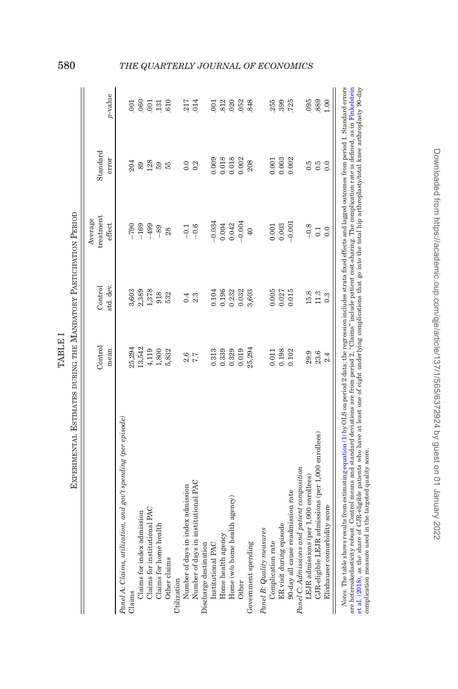| Experimental Estimates during the Mandatory Participation Period                                                                                                                                                                                                                                                                                                                   |                 |                      |                                |                   |               |
|------------------------------------------------------------------------------------------------------------------------------------------------------------------------------------------------------------------------------------------------------------------------------------------------------------------------------------------------------------------------------------|-----------------|----------------------|--------------------------------|-------------------|---------------|
|                                                                                                                                                                                                                                                                                                                                                                                    | Control<br>mean | std. dev.<br>Control | treatment<br>Average<br>effect | Standard<br>error | p-value       |
| Panel A: Claims, utilization, and gov't spending (per episode)                                                                                                                                                                                                                                                                                                                     |                 |                      |                                |                   |               |
| Claims                                                                                                                                                                                                                                                                                                                                                                             | 25,294          | 3,603                | $-790$                         | 204               | $\bar{\rm s}$ |
| Claims for index admission                                                                                                                                                                                                                                                                                                                                                         | 13,542          | 2,389                | $-169$                         | 89                | .060          |
| Claims for institutional PAC                                                                                                                                                                                                                                                                                                                                                       | 4,119           | 1,378                | $-499$                         | 128               | 001           |
| Claims for home health                                                                                                                                                                                                                                                                                                                                                             | 1,800           | 918                  | $-89$                          | 59                | .131          |
| Other claims                                                                                                                                                                                                                                                                                                                                                                       | 5,832           | 532                  | 28                             | 55                | 610           |
| Utilization                                                                                                                                                                                                                                                                                                                                                                        |                 |                      |                                |                   |               |
| Number of days in index admission                                                                                                                                                                                                                                                                                                                                                  | 2.6             | 0.4                  | $-0.1$                         | 0.0               | 217           |
| Number of days in institutional PAC                                                                                                                                                                                                                                                                                                                                                | 7.7             | 2.3                  | $-0.6$                         | 0.2               | 014           |
| Discharge destination                                                                                                                                                                                                                                                                                                                                                              |                 |                      |                                |                   |               |
| Institutional PAC                                                                                                                                                                                                                                                                                                                                                                  | 0.313           | 0.104                | $-0.034$                       | 0.009             | 001           |
| Home health agency                                                                                                                                                                                                                                                                                                                                                                 | 0.339           | 0.196                | 0.004                          | 0.018             | 812           |
| Home (w/o home health agency)                                                                                                                                                                                                                                                                                                                                                      | 0.329           | 0.232                | 0.042                          | 0.018             | 020           |
| Other                                                                                                                                                                                                                                                                                                                                                                              | 0.019           | 0.032                | $-0.004$                       | 0.002             | 052           |
| Government spending                                                                                                                                                                                                                                                                                                                                                                | 25,294          | 3,603                | 40                             | 208               | 848           |
| Panel B: Quality measures                                                                                                                                                                                                                                                                                                                                                          |                 |                      |                                |                   |               |
| Complication rate                                                                                                                                                                                                                                                                                                                                                                  | 0.011           | 0.005                | 0.001                          | 0.001             | 255           |
| ER visit during episode                                                                                                                                                                                                                                                                                                                                                            | 0.198           | 0.027                | 0.003                          | 0.003             | .399          |
| 90-day all cause readmission rate                                                                                                                                                                                                                                                                                                                                                  | 0.102           | 0.015                | $-0.001$                       | 0.002             | 725           |
| Panel C: Admissions and patient composition                                                                                                                                                                                                                                                                                                                                        |                 |                      |                                |                   |               |
| LEJR admissions (per 1,000 enrollees)                                                                                                                                                                                                                                                                                                                                              | 29.9            | 15.8                 | $-0.8$                         | $\ddot{6}$        | 095           |
| CJR-eligible LEJR admissions (per 1,000 enrollees)                                                                                                                                                                                                                                                                                                                                 | 23.6            | 11.3                 | 0.1                            | $0.\overline{5}$  | .889          |
| Elixhauser comorbidity score                                                                                                                                                                                                                                                                                                                                                       | 2.4             | 0.3                  | 0.0                            | 0.0               | 1.00          |
| <i>Notes</i> . The table shows results from estimating equation (1) by OLS on period 2 data; the regression includes strata fixed effects and lagged outcomes from period 1. Standard errors<br>are heteroskedasticity robust. Control means and standard deviations are from neriod 2. "Claims" include patient cost-sharing. The complication rate is defined, as in Finkelstein |                 |                      |                                |                   |               |

et al. (2018), as the sheet of CJR-eligible patients who have at least one of eight underlying complications that go into the total hip arthroplastylotal Innee arthroplasty 90-ay<br>complication measure used in the targeted q are heteroskedasticity robust. Control means and standard deviations are from period 2. "Claims" include patient cost-sharing. The complication rate is defined, as in [Finkelstein](#page-51-1) et al. [\(2018\),](#page-51-1) as the share of CJR-eligible patients who have at least one of eight underlying complications that go into the total hip arthroplasty/total knee arthroplasty 90-day complication measure used in the targeted quality score.

<span id="page-15-0"></span>TABLE I

TABLE I

# 580 *THE QUARTERLY JOURNAL OF ECONOMICS*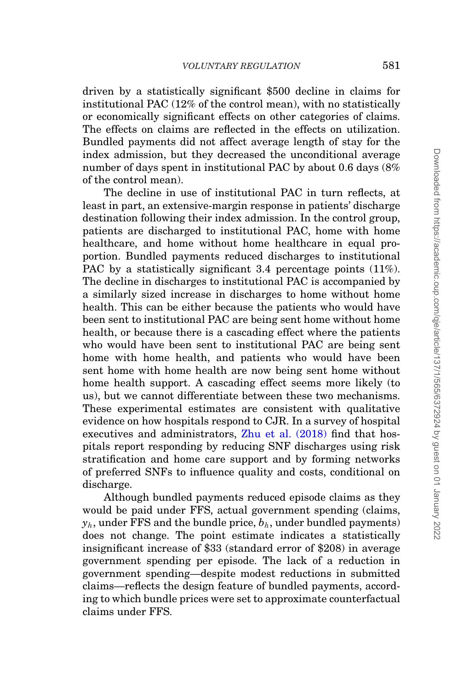driven by a statistically significant \$500 decline in claims for institutional PAC (12% of the control mean), with no statistically or economically significant effects on other categories of claims. The effects on claims are reflected in the effects on utilization. Bundled payments did not affect average length of stay for the index admission, but they decreased the unconditional average number of days spent in institutional PAC by about 0.6 days (8% of the control mean).

The decline in use of institutional PAC in turn reflects, at least in part, an extensive-margin response in patients' discharge destination following their index admission. In the control group, patients are discharged to institutional PAC, home with home healthcare, and home without home healthcare in equal proportion. Bundled payments reduced discharges to institutional PAC by a statistically significant 3.4 percentage points  $(11\%)$ . The decline in discharges to institutional PAC is accompanied by a similarly sized increase in discharges to home without home health. This can be either because the patients who would have been sent to institutional PAC are being sent home without home health, or because there is a cascading effect where the patients who would have been sent to institutional PAC are being sent home with home health, and patients who would have been sent home with home health are now being sent home without home health support. A cascading effect seems more likely (to us), but we cannot differentiate between these two mechanisms. These experimental estimates are consistent with qualitative evidence on how hospitals respond to CJR. In a survey of hospital executives and administrators, Zhu et al.  $(2018)$  find that hospitals report responding by reducing SNF discharges using risk stratification and home care support and by forming networks of preferred SNFs to influence quality and costs, conditional on discharge.

Although bundled payments reduced episode claims as they would be paid under FFS, actual government spending (claims,  $y_h$ , under FFS and the bundle price,  $b_h$ , under bundled payments) does not change. The point estimate indicates a statistically insignificant increase of \$33 (standard error of \$208) in average government spending per episode. The lack of a reduction in government spending—despite modest reductions in submitted claims—reflects the design feature of bundled payments, according to which bundle prices were set to approximate counterfactual claims under FFS.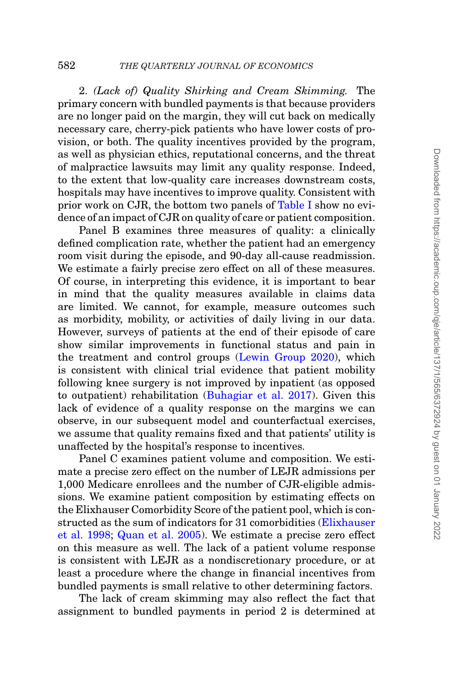2. *(Lack of) Quality Shirking and Cream Skimming.* The primary concern with bundled payments is that because providers are no longer paid on the margin, they will cut back on medically necessary care, cherry-pick patients who have lower costs of provision, or both. The quality incentives provided by the program, as well as physician ethics, reputational concerns, and the threat of malpractice lawsuits may limit any quality response. Indeed, to the extent that low-quality care increases downstream costs, hospitals may have incentives to improve quality. Consistent with prior work on CJR, the bottom two panels of [Table I](#page-15-0) show no evidence of an impact of CJR on quality of care or patient composition.

Panel B examines three measures of quality: a clinically defined complication rate, whether the patient had an emergency room visit during the episode, and 90-day all-cause readmission. We estimate a fairly precise zero effect on all of these measures. Of course, in interpreting this evidence, it is important to bear in mind that the quality measures available in claims data are limited. We cannot, for example, measure outcomes such as morbidity, mobility, or activities of daily living in our data. However, surveys of patients at the end of their episode of care show similar improvements in functional status and pain in the treatment and control groups [\(Lewin Group 2020\)](#page-52-18), which is consistent with clinical trial evidence that patient mobility following knee surgery is not improved by inpatient (as opposed to outpatient) rehabilitation [\(Buhagiar et al. 2017\)](#page-50-11). Given this lack of evidence of a quality response on the margins we can observe, in our subsequent model and counterfactual exercises, we assume that quality remains fixed and that patients' utility is unaffected by the hospital's response to incentives.

Panel C examines patient volume and composition. We estimate a precise zero effect on the number of LEJR admissions per 1,000 Medicare enrollees and the number of CJR-eligible admissions. We examine patient composition by estimating effects on the Elixhauser Comorbidity Score of the patient pool, which is constructed as the sum of indicators for 31 comorbidities [\(Elixhauser](#page-51-14) [et al. 1998;](#page-51-14) [Quan et al. 2005\)](#page-53-8). We estimate a precise zero effect on this measure as well. The lack of a patient volume response is consistent with LEJR as a nondiscretionary procedure, or at least a procedure where the change in financial incentives from bundled payments is small relative to other determining factors.

The lack of cream skimming may also reflect the fact that assignment to bundled payments in period 2 is determined at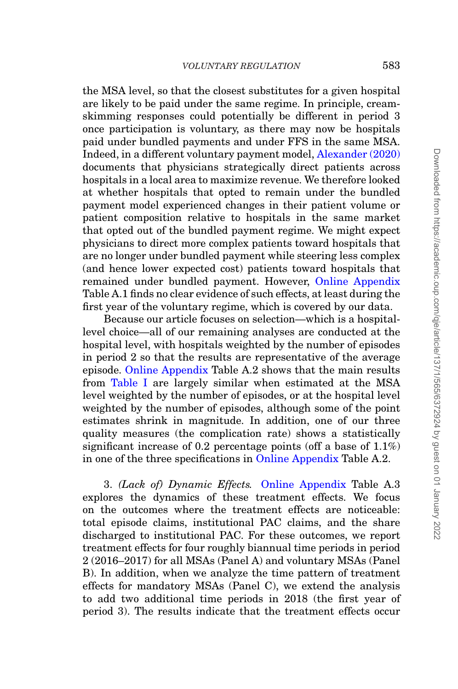the MSA level, so that the closest substitutes for a given hospital are likely to be paid under the same regime. In principle, creamskimming responses could potentially be different in period 3 once participation is voluntary, as there may now be hospitals paid under bundled payments and under FFS in the same MSA. Indeed, in a different voluntary payment model, [Alexander \(2020\)](#page-50-12) documents that physicians strategically direct patients across hospitals in a local area to maximize revenue. We therefore looked at whether hospitals that opted to remain under the bundled payment model experienced changes in their patient volume or patient composition relative to hospitals in the same market that opted out of the bundled payment regime. We might expect physicians to direct more complex patients toward hospitals that are no longer under bundled payment while steering less complex (and hence lower expected cost) patients toward hospitals that remained under bundled payment. However, [Online Appendix](file:qje.oxfordjournals.org) Table A.1 finds no clear evidence of such effects, at least during the first year of the voluntary regime, which is covered by our data.

Because our article focuses on selection—which is a hospitallevel choice—all of our remaining analyses are conducted at the hospital level, with hospitals weighted by the number of episodes in period 2 so that the results are representative of the average episode. [Online Appendix](file:qje.oxfordjournals.org) Table A.2 shows that the main results from [Table I](#page-15-0) are largely similar when estimated at the MSA level weighted by the number of episodes, or at the hospital level weighted by the number of episodes, although some of the point estimates shrink in magnitude. In addition, one of our three quality measures (the complication rate) shows a statistically significant increase of 0.2 percentage points (off a base of  $1.1\%$ ) in one of the three specifications in [Online Appendix](file:qje.oxfordjournals.org) Table A.2.

3. *(Lack of) Dynamic Effects.* [Online Appendix](file:qje.oxfordjournals.org) Table A.3 explores the dynamics of these treatment effects. We focus on the outcomes where the treatment effects are noticeable: total episode claims, institutional PAC claims, and the share discharged to institutional PAC. For these outcomes, we report treatment effects for four roughly biannual time periods in period 2 (2016–2017) for all MSAs (Panel A) and voluntary MSAs (Panel B). In addition, when we analyze the time pattern of treatment effects for mandatory MSAs (Panel C), we extend the analysis to add two additional time periods in 2018 (the first year of period 3). The results indicate that the treatment effects occur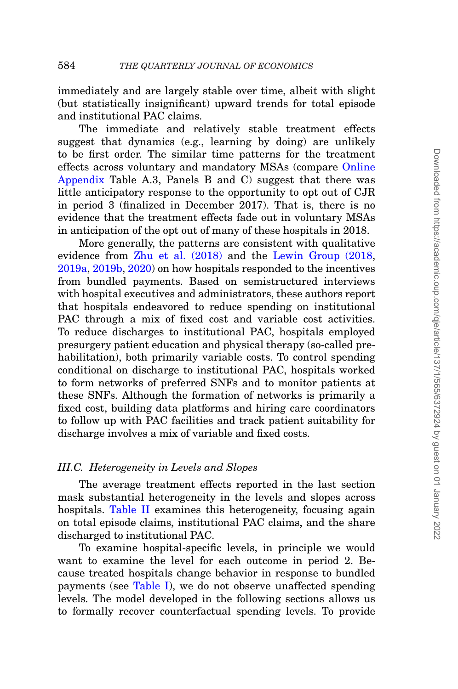immediately and are largely stable over time, albeit with slight (but statistically insignificant) upward trends for total episode and institutional PAC claims.

The immediate and relatively stable treatment effects suggest that dynamics (e.g., learning by doing) are unlikely to be first order. The similar time patterns for the treatment effects across voluntary and mandatory MSAs (compare [Online](file:qje.oxfordjournals.org) [Appendix](file:qje.oxfordjournals.org) Table A.3, Panels B and C) suggest that there was little anticipatory response to the opportunity to opt out of CJR in period 3 (finalized in December 2017). That is, there is no evidence that the treatment effects fade out in voluntary MSAs in anticipation of the opt out of many of these hospitals in 2018.

More generally, the patterns are consistent with qualitative evidence from [Zhu et al. \(2018\)](#page-53-7) and the [Lewin Group \(2018,](#page-52-7) [2019a,](#page-52-19) [2019b,](#page-52-20) [2020\)](#page-52-18) on how hospitals responded to the incentives from bundled payments. Based on semistructured interviews with hospital executives and administrators, these authors report that hospitals endeavored to reduce spending on institutional PAC through a mix of fixed cost and variable cost activities. To reduce discharges to institutional PAC, hospitals employed presurgery patient education and physical therapy (so-called prehabilitation), both primarily variable costs. To control spending conditional on discharge to institutional PAC, hospitals worked to form networks of preferred SNFs and to monitor patients at these SNFs. Although the formation of networks is primarily a fixed cost, building data platforms and hiring care coordinators to follow up with PAC facilities and track patient suitability for discharge involves a mix of variable and fixed costs.

#### *III.C. Heterogeneity in Levels and Slopes*

The average treatment effects reported in the last section mask substantial heterogeneity in the levels and slopes across hospitals. [Table II](#page-20-0) examines this heterogeneity, focusing again on total episode claims, institutional PAC claims, and the share discharged to institutional PAC.

To examine hospital-specific levels, in principle we would want to examine the level for each outcome in period 2. Because treated hospitals change behavior in response to bundled payments (see [Table I\)](#page-15-0), we do not observe unaffected spending levels. The model developed in the following sections allows us to formally recover counterfactual spending levels. To provide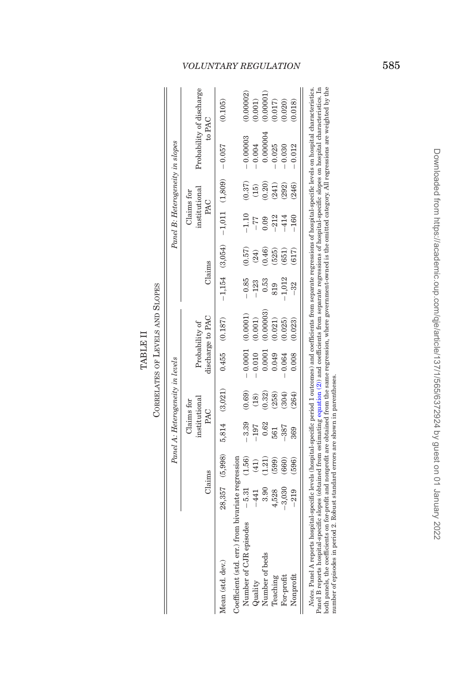<span id="page-20-0"></span>

|                   | ï<br>J        |
|-------------------|---------------|
| Ē<br>٦.<br>ŗ<br>Ē | r.<br>7<br>÷. |
|                   | Ě             |

|                                                                                                                                                                                           |                |                | Panel A: Heterogeneity in levels |            |           |                                    |         |        |                                            |                 | Panel B: Heterogeneity in slopes   |           |
|-------------------------------------------------------------------------------------------------------------------------------------------------------------------------------------------|----------------|----------------|----------------------------------|------------|-----------|------------------------------------|---------|--------|--------------------------------------------|-----------------|------------------------------------|-----------|
|                                                                                                                                                                                           |                |                |                                  | Claims for |           |                                    |         |        | Claims for                                 |                 |                                    |           |
|                                                                                                                                                                                           | Claims         |                | institutional<br>PAC             |            |           | discharge to PAC<br>Probability of | Claims  |        | institutional<br>PAC                       |                 | Probability of discharge<br>to PAC |           |
| Mean (std. dev.)                                                                                                                                                                          |                | 28,357 (5,998) | 5,814 (3,021)                    |            |           | $0.455$ $(0.187)$                  |         |        | $-1,154$ (3,054) $-1,011$ (1,809) $-0.057$ |                 |                                    | (0.105)   |
| Coefficient (std. err.) from bivariate regression                                                                                                                                         |                |                |                                  |            |           |                                    |         |        |                                            |                 |                                    |           |
| Number of CJR episodes                                                                                                                                                                    | $-5.31$ (1.56) |                | $-3.39$                          | (0.69)     | $-0.0001$ | (0.0001)                           | $-0.85$ | (0.57) | $-1.10$                                    | (0.37)          | $-0.00003$                         | (0.00002) |
| Quality                                                                                                                                                                                   | -441           | (41)           | $-197$                           | (18)       | 0.010     | (0.001)                            |         | (24)   |                                            | $\overline{15}$ | 0.004                              | 0.001)    |
| Number of beds                                                                                                                                                                            | 3.90           | 1.21           |                                  | (0.32)     | 0.0001    | 0.00003                            | 0.53    | 0.46)  |                                            | 0.20)           | 0.000004                           | (0.00001) |
| Teaching                                                                                                                                                                                  | 4,528          | (669)          | 561                              | (258)      | 0.049     | 0.021)                             |         | (525)  |                                            | (241)           | 0.025                              | 0.017     |
| For-profit                                                                                                                                                                                | 3,030          | 660)           |                                  | (304)      | 0.064     | 0.025)                             | 1,012   | 651)   |                                            | (292)           | 0.030                              | 0.020)    |
| Nonprofit                                                                                                                                                                                 |                | 596)           | 369                              |            | 0.008     | 0.023)                             |         |        | $-160$                                     | 246)            | 0.012                              | 0.018     |
| Notes. Panel A reports hospital-specific levels (hospital-specific period 1 outcomes) and coefficients from separate regressions of hospital-specific levels on hospital characteristics. |                |                |                                  |            |           |                                    |         |        |                                            |                 |                                    |           |

Panel B reports hospital-specific slopes (obtained from estimating equation (2)) and coefficients from separate regressions of hospital-specific slopes on hospital characteristics. In<br>both panels, the coefficients on for-p Panel B reports hospital-specific slopes (obtained from estimating [equation](#page-21-0) (2)) and coefficients from separate regressions of hospital-specific slopes on hospital characteristics. In both panels, the coefficients on for-profit and nonprofit are obtained from the same regression, where government-owned is the omitted category. All regressions are weighted by the number of episodes in period 2. Robust standard errors are shown in parentheses.

# *VOLUNTARY REGULATION* 585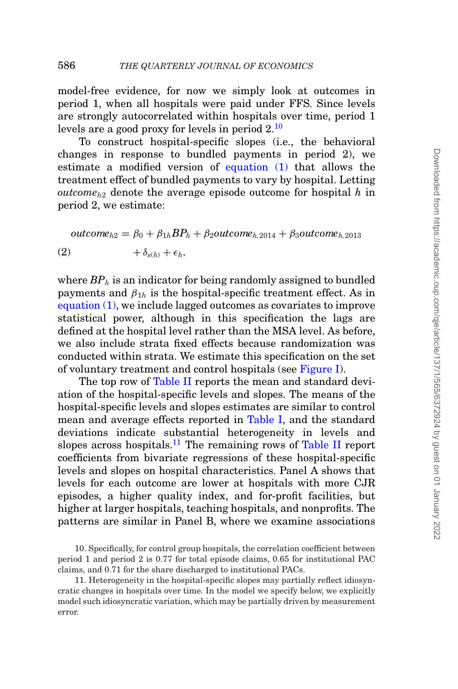model-free evidence, for now we simply look at outcomes in period 1, when all hospitals were paid under FFS. Since levels are strongly autocorrelated within hospitals over time, period 1 levels are a good proxy for levels in period  $2^{10}$  $2^{10}$  $2^{10}$ 

To construct hospital-specific slopes (i.e., the behavioral changes in response to bundled payments in period 2), we estimate a modified version of [equation \(1\)](#page-14-0) that allows the treatment effect of bundled payments to vary by hospital. Letting *outcomeh*<sup>2</sup> denote the average episode outcome for hospital *h* in period 2, we estimate:

$$
outcome_{h2} = \beta_0 + \beta_{1h} BP_h + \beta_2 outcome_{h,2014} + \beta_3 outcome_{h,2013}
$$
  
(2) 
$$
+ \delta_{s(h)} + \epsilon_h,
$$

<span id="page-21-0"></span>where  $BP<sub>h</sub>$  is an indicator for being randomly assigned to bundled payments and  $\beta_{1h}$  is the hospital-specific treatment effect. As in [equation \(1\),](#page-14-0) we include lagged outcomes as covariates to improve statistical power, although in this specification the lags are defined at the hospital level rather than the MSA level. As before, we also include strata fixed effects because randomization was conducted within strata. We estimate this specification on the set of voluntary treatment and control hospitals (see [Figure I\)](#page-11-1).

The top row of [Table II](#page-20-0) reports the mean and standard deviation of the hospital-specific levels and slopes. The means of the hospital-specific levels and slopes estimates are similar to control mean and average effects reported in [Table I,](#page-15-0) and the standard deviations indicate substantial heterogeneity in levels and slopes across hospitals.<sup>[11](#page-21-2)</sup> The remaining rows of [Table II](#page-20-0) report coefficients from bivariate regressions of these hospital-specific levels and slopes on hospital characteristics. Panel A shows that levels for each outcome are lower at hospitals with more CJR episodes, a higher quality index, and for-profit facilities, but higher at larger hospitals, teaching hospitals, and nonprofits. The patterns are similar in Panel B, where we examine associations

<span id="page-21-1"></span><sup>10.</sup> Specifically, for control group hospitals, the correlation coefficient between period 1 and period 2 is 0.77 for total episode claims, 0.65 for institutional PAC claims, and 0.71 for the share discharged to institutional PACs.

<span id="page-21-2"></span><sup>11.</sup> Heterogeneity in the hospital-specific slopes may partially reflect idiosyncratic changes in hospitals over time. In the model we specify below, we explicitly model such idiosyncratic variation, which may be partially driven by measurement error.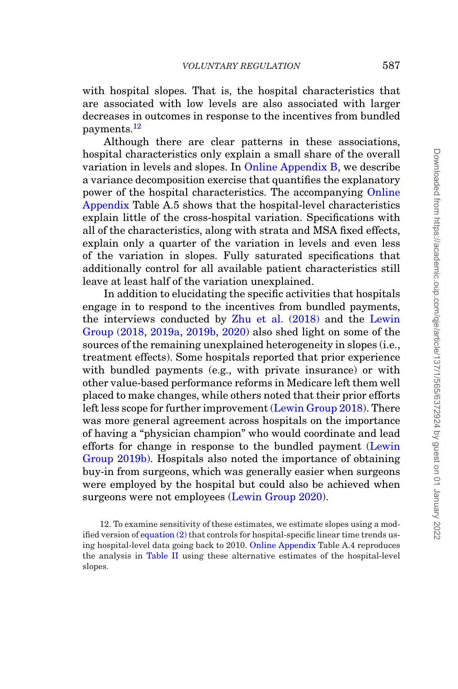with hospital slopes. That is, the hospital characteristics that are associated with low levels are also associated with larger decreases in outcomes in response to the incentives from bundled payments[.12](#page-22-0)

Although there are clear patterns in these associations, hospital characteristics only explain a small share of the overall variation in levels and slopes. In [Online Appendix B,](file:qje.oxfordjournals.org) we describe a variance decomposition exercise that quantifies the explanatory power of the hospital characteristics. The accompanying [Online](file:qje.oxfordjournals.org) [Appendix](file:qje.oxfordjournals.org) Table A.5 shows that the hospital-level characteristics explain little of the cross-hospital variation. Specifications with all of the characteristics, along with strata and MSA fixed effects, explain only a quarter of the variation in levels and even less of the variation in slopes. Fully saturated specifications that additionally control for all available patient characteristics still leave at least half of the variation unexplained.

In addition to elucidating the specific activities that hospitals engage in to respond to the incentives from bundled payments, the interviews conducted by [Zhu et al. \(2018\)](#page-53-7) and the [Lewin](#page-52-7) [Group \(2018,](#page-52-7) [2019a,](#page-52-19) [2019b,](#page-52-20) [2020\)](#page-52-18) also shed light on some of the sources of the remaining unexplained heterogeneity in slopes (i.e., treatment effects). Some hospitals reported that prior experience with bundled payments (e.g., with private insurance) or with other value-based performance reforms in Medicare left them well placed to make changes, while others noted that their prior efforts left less scope for further improvement [\(Lewin Group 2018\)](#page-52-7). There was more general agreement across hospitals on the importance of having a "physician champion" who would coordinate and lead efforts for change in response to the bundled payment [\(Lewin](#page-52-20) [Group 2019b\)](#page-52-20). Hospitals also noted the importance of obtaining buy-in from surgeons, which was generally easier when surgeons were employed by the hospital but could also be achieved when surgeons were not employees [\(Lewin Group 2020\)](#page-52-18).

<span id="page-22-0"></span>12. To examine sensitivity of these estimates, we estimate slopes using a modified version of [equation \(2\)](#page-21-0) that controls for hospital-specific linear time trends using hospital-level data going back to 2010. [Online Appendix](file:qje.oxfordjournals.org) Table A.4 reproduces the analysis in [Table II](#page-20-0) using these alternative estimates of the hospital-level slopes.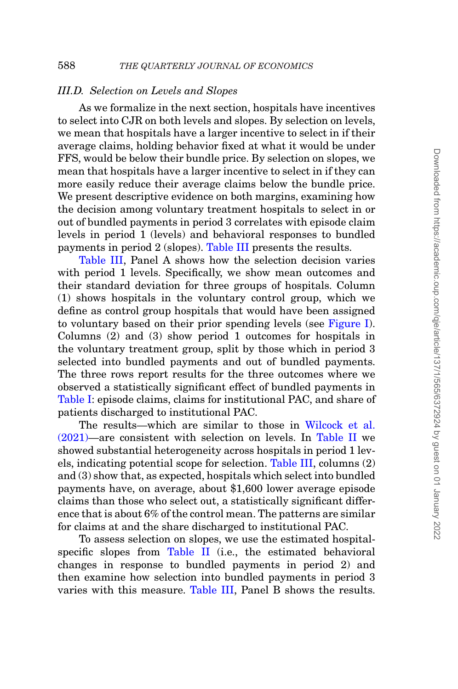### *III.D. Selection on Levels and Slopes*

As we formalize in the next section, hospitals have incentives to select into CJR on both levels and slopes. By selection on levels, we mean that hospitals have a larger incentive to select in if their average claims, holding behavior fixed at what it would be under FFS, would be below their bundle price. By selection on slopes, we mean that hospitals have a larger incentive to select in if they can more easily reduce their average claims below the bundle price. We present descriptive evidence on both margins, examining how the decision among voluntary treatment hospitals to select in or out of bundled payments in period 3 correlates with episode claim levels in period 1 (levels) and behavioral responses to bundled payments in period 2 (slopes). [Table III](#page-24-0) presents the results.

[Table III,](#page-24-0) Panel A shows how the selection decision varies with period 1 levels. Specifically, we show mean outcomes and their standard deviation for three groups of hospitals. Column (1) shows hospitals in the voluntary control group, which we define as control group hospitals that would have been assigned to voluntary based on their prior spending levels (see [Figure I\)](#page-11-1). Columns (2) and (3) show period 1 outcomes for hospitals in the voluntary treatment group, split by those which in period 3 selected into bundled payments and out of bundled payments. The three rows report results for the three outcomes where we observed a statistically significant effect of bundled payments in [Table I:](#page-15-0) episode claims, claims for institutional PAC, and share of patients discharged to institutional PAC.

The results—which are similar to those in [Wilcock et al.](#page-53-5) [\(2021\)—](#page-53-5)are consistent with selection on levels. In [Table II](#page-20-0) we showed substantial heterogeneity across hospitals in period 1 levels, indicating potential scope for selection. [Table III,](#page-24-0) columns (2) and (3) show that, as expected, hospitals which select into bundled payments have, on average, about \$1,600 lower average episode claims than those who select out, a statistically significant difference that is about 6% of the control mean. The patterns are similar for claims at and the share discharged to institutional PAC.

To assess selection on slopes, we use the estimated hospitalspecific slopes from [Table II](#page-20-0) (i.e., the estimated behavioral changes in response to bundled payments in period 2) and then examine how selection into bundled payments in period 3 varies with this measure. [Table III,](#page-24-0) Panel B shows the results.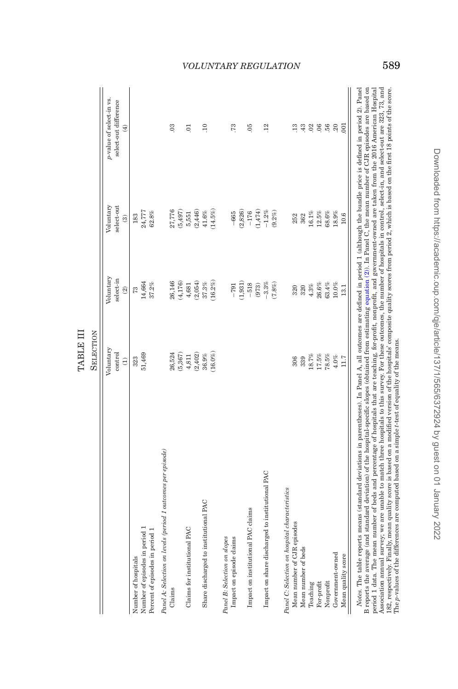|                                                              | Voluntary     | Voluntary                | Voluntary   | p-value of select-in vs.                     |
|--------------------------------------------------------------|---------------|--------------------------|-------------|----------------------------------------------|
|                                                              | control       | select-in                | select-out  | select-out difference                        |
|                                                              | $\widehat{c}$ | $\widehat{\mathfrak{A}}$ | $\circledR$ | $\widehat{\mathcal{F}}$                      |
| Number of hospitals                                          | 323           | 73                       | 183         |                                              |
| Number of episodes in period 1                               | 51,469        | 14,664                   | 24,777      |                                              |
| Percent of episodes in period 1                              |               | 37.2%                    | $62.8\%$    |                                              |
| Panel A: Selection on levels (period 1 outcomes per episode) |               |                          |             |                                              |
| Claims                                                       | 26,524        | 26,146                   | 27,776      | $\ddot{\circ}$                               |
|                                                              | (5, 367)      | (4,176)                  | (5, 497)    |                                              |
| Claims for institutional PAC                                 | 4,811         | 4,681                    | 5,551       | ē                                            |
|                                                              | (2,402)       | (2,054)                  | (2, 446)    |                                              |
| Share discharged to institutional PAC                        | $36.9\%$      | $37.3\%$                 | $41.6\%$    | $\Xi$                                        |
|                                                              | $(16.0\%$     | (16.2%)                  | $(14.5\%)$  |                                              |
| Panel B: Selection on slopes                                 |               |                          |             |                                              |
| Impact on episode claims                                     |               | $-791$                   | $-665$      | .73                                          |
|                                                              |               | (1,931)                  | (2,826)     |                                              |
| Impact on institutional PAC claims                           |               | $-518$                   | $-176$      | 05                                           |
|                                                              |               | (973)                    | (1,474)     |                                              |
| Impact on share discharged to institutional PAC              |               | $-3.3\%$                 | $-1.2\%$    | $\overline{12}$                              |
|                                                              |               | (7.8%)                   | $(9.2\%)$   |                                              |
| Panel C: Selection on hospital characteristics               |               |                          |             |                                              |
| Mean number of CJR episodes                                  | 306           | 320                      | 252         | $\frac{3}{2}$                                |
| Mean number of beds                                          | 339           | 320                      | 362         | $\stackrel{\textstyle{43}}{\textstyle{}}$ 82 |
| Teaching                                                     | $18.7\%$      | $4.3\%$                  | $16.1\%$    |                                              |
| For-profit                                                   | $17.5\%$      | 26.6%                    | $12.5\%$    | $\sim$                                       |
| Nonprofit                                                    | $78.5\%$      | 63.4%                    | $68.6\%$    | 56                                           |
| Government-owned                                             | $4.0\%$       | $10.0\%$                 | 18.9%       | $20$                                         |
| Mean quality score                                           | 11.7          | 13.1                     | 10.6        | 001                                          |

<span id="page-24-0"></span>TABLE III SELECTION

TABLE III SELECTION

# Association annual survey, we are unable to match three hospitals to this survey. For these outcomes, the number of hospitals in control, select-in, and select-out are 323, 73, and 182, respectively. Finally, mean quality B reports the average (and standard deviation) of the hospital-specific slopes (obtained from estimating equation (2)). In Panel C, the mean number of CJR episodes are based on period 1 data. The mean number of beds and percentage of hospitals that are teaching, for-profit, nonprofit, and government-owned are taken from the 2016 American Hospital B reports the average (and standard deviation) of the hospital-specific slopes (obtained from estimating [equation](#page-21-0) (2)). In Panel C, the mean number of CJR episodes are based on period 1 data. The mean number of beds and percentage of hospitals that are teaching, for-profit, nonprofit, and government-owned are taken from the 2016 American Hospital Association annual survey; we are unable to match three hospitals to this survey. For these outcomes, the number of hospitals in control, select-in, and select-out are 323, 73, and 182, respectively. Finally, mean quality score is based on a modified version of the hospitals' composite quality scores from period 2, which is based on the first 18 points of the score. The *p*-values of the differences are computed based on a simple *t*-test of equality of the means.

# *VOLUNTARY REGULATION* 589

Downloaded from https://academic.oup.com/qje/article/137/1/565/6372924 by guest on 01 January 2022 Downloaded from https://academic.oup.com/qje/article/137/1/565/6372924 by guest on 01 January 2022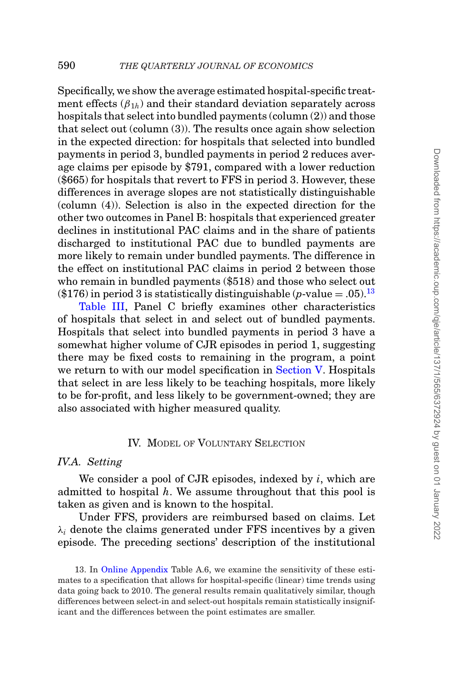Specifically, we show the average estimated hospital-specific treatment effects  $(\beta_{1h})$  and their standard deviation separately across hospitals that select into bundled payments (column (2)) and those that select out (column (3)). The results once again show selection in the expected direction: for hospitals that selected into bundled payments in period 3, bundled payments in period 2 reduces average claims per episode by \$791, compared with a lower reduction (\$665) for hospitals that revert to FFS in period 3. However, these differences in average slopes are not statistically distinguishable (column (4)). Selection is also in the expected direction for the other two outcomes in Panel B: hospitals that experienced greater declines in institutional PAC claims and in the share of patients discharged to institutional PAC due to bundled payments are more likely to remain under bundled payments. The difference in the effect on institutional PAC claims in period 2 between those who remain in bundled payments (\$518) and those who select out (\$176) in period 3 is statistically distinguishable ( $p$ -value = .05).<sup>[13](#page-25-1)</sup>

[Table III,](#page-24-0) Panel C briefly examines other characteristics of hospitals that select in and select out of bundled payments. Hospitals that select into bundled payments in period 3 have a somewhat higher volume of CJR episodes in period 1, suggesting there may be fixed costs to remaining in the program, a point we return to with our model specification in [Section V.](#page-32-0) Hospitals that select in are less likely to be teaching hospitals, more likely to be for-profit, and less likely to be government-owned; they are also associated with higher measured quality.

#### <span id="page-25-0"></span>IV. MODEL OF VOLUNTARY SELECTION

### *IV.A. Setting*

We consider a pool of CJR episodes, indexed by *i*, which are admitted to hospital *h*. We assume throughout that this pool is taken as given and is known to the hospital.

Under FFS, providers are reimbursed based on claims. Let  $\lambda_i$  denote the claims generated under FFS incentives by a given episode. The preceding sections' description of the institutional

<span id="page-25-1"></span><sup>13.</sup> In [Online Appendix](file:qje.oxfordjournals.org) Table A.6, we examine the sensitivity of these estimates to a specification that allows for hospital-specific (linear) time trends using data going back to 2010. The general results remain qualitatively similar, though differences between select-in and select-out hospitals remain statistically insignificant and the differences between the point estimates are smaller.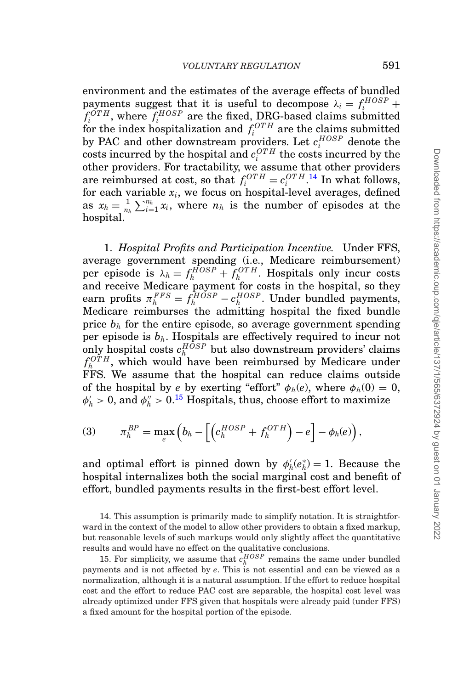environment and the estimates of the average effects of bundled payments suggest that it is useful to decompose  $\lambda_i = f_i^{HOSP} +$  $f_i^{OTH}$ , where  $f_i^{HOSP}$  are the fixed, DRG-based claims submitted for the index hospitalization and  $f_i^{OTH}$  are the claims submitted by PAC and other downstream providers. Let  $c_i^{HOSP}$  denote the  $\cos$ ts incurred by the hospital and  $c_i^{OTH}$  the costs incurred by the other providers. For tractability, we assume that other providers are reimbursed at cost, so that  $f_i^{OTH} = c_i^{OTH}$ .<sup>[14](#page-26-0)</sup> In what follows, for each variable  $x_i$ , we focus on hospital-level averages, defined as  $x_h = \frac{1}{n_h} \sum_{i=1}^{n_h} x_i$ , where  $n_h$  is the number of episodes at the hospital.

1. *Hospital Profits and Participation Incentive.* Under FFS, average government spending (i.e., Medicare reimbursement) per episode is  $\lambda_h = f_h^{HOSP} + f_h^{OTH}$ . Hospitals only incur costs and receive Medicare payment for costs in the hospital, so they earn profits  $\pi_h^{FFS} = f_h^{HOSP} - c_h^{HOSP}$ . Under bundled payments, Medicare reimburses the admitting hospital the fixed bundle price  $b_h$  for the entire episode, so average government spending per episode is  $b_h$ . Hospitals are effectively required to incur not only hospital costs  $c_h^{HOSP}$  but also downstream providers' claims  $f_h^{OTH}$ , which would have been reimbursed by Medicare under FFS. We assume that the hospital can reduce claims outside of the hospital by *e* by exerting "effort"  $\phi_h(e)$ , where  $\phi_h(0) = 0$ ,  $\phi'_h > 0$ , and  $\phi''_h > 0$ .<sup>[15](#page-26-1)</sup> Hospitals, thus, choose effort to maximize

(3) 
$$
\pi_h^{BP} = \max_e \left( b_h - \left[ \left( c_h^{HOSP} + f_h^{OTH} \right) - e \right] - \phi_h(e) \right),
$$

and optimal effort is pinned down by  $\phi'_h(e^*_h) = 1$ . Because the hospital internalizes both the social marginal cost and benefit of effort, bundled payments results in the first-best effort level.

<span id="page-26-0"></span>14. This assumption is primarily made to simplify notation. It is straightforward in the context of the model to allow other providers to obtain a fixed markup, but reasonable levels of such markups would only slightly affect the quantitative results and would have no effect on the qualitative conclusions.

<span id="page-26-1"></span>15. For simplicity, we assume that  $c_h^{HOSP}$  remains the same under bundled payments and is not affected by *e*. This is not essential and can be viewed as a normalization, although it is a natural assumption. If the effort to reduce hospital cost and the effort to reduce PAC cost are separable, the hospital cost level was already optimized under FFS given that hospitals were already paid (under FFS) a fixed amount for the hospital portion of the episode.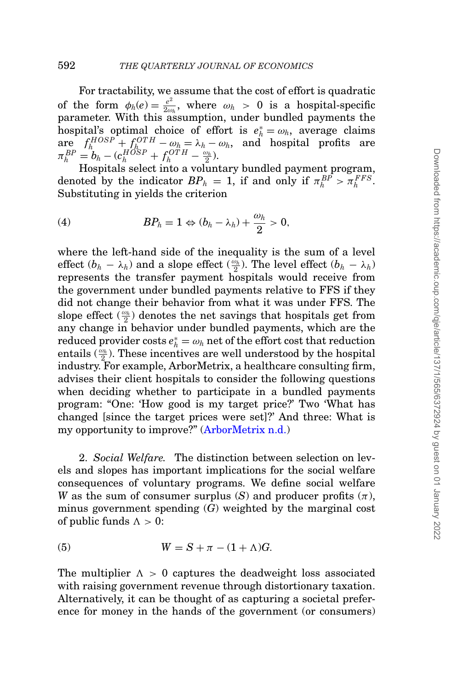For tractability, we assume that the cost of effort is quadratic of the form  $\phi_h(e) = \frac{e^2}{2\omega_h}$ , where  $\omega_h > 0$  is a hospital-specific parameter. With this assumption, under bundled payments the hospital's optimal choice of effort is  $e_h^* = \omega_h$ , average claims  $\alpha_h^* = \omega_h$ , average claims  $\arg_{p} \frac{f_h^{HOSP} + f_h^{OTH} - \omega_h = \lambda_h - \omega_h, \text{ and hospital profits are}$  $\pi_h^{BP} = b_h - (c_h^{HOSP} + f_h^{OTH} - \frac{\omega_h}{2}).$ 

Hospitals select into a voluntary bundled payment program, denoted by the indicator  $BP_h = 1$ , if and only if  $\pi_h^{BP} > \pi_h^{FFS}$ . Substituting in yields the criterion

<span id="page-27-0"></span>(4) 
$$
BP_h = 1 \Leftrightarrow (b_h - \lambda_h) + \frac{\omega_h}{2} > 0,
$$

where the left-hand side of the inequality is the sum of a level effect  $(b_h - \lambda_h)$  and a slope effect  $(\frac{\omega_h}{2})$ . The level effect  $(b_h - \lambda_h)$ represents the transfer payment hospitals would receive from the government under bundled payments relative to FFS if they did not change their behavior from what it was under FFS. The slope effect  $(\frac{\omega_h}{2})$  denotes the net savings that hospitals get from any change in behavior under bundled payments, which are the  $\text{reduced provider costs } e_h^* = \omega_h \text{ net of the effort cost that reduction}$ entails  $(\frac{\omega_h}{2})$ . These incentives are well understood by the hospital industry. For example, ArborMetrix, a healthcare consulting firm, advises their client hospitals to consider the following questions when deciding whether to participate in a bundled payments program: "One: 'How good is my target price?' Two 'What has changed [since the target prices were set]?' And three: What is my opportunity to improve?" [\(ArborMetrix n.d.\)](#page-50-13)

2. *Social Welfare.* The distinction between selection on levels and slopes has important implications for the social welfare consequences of voluntary programs. We define social welfare *W* as the sum of consumer surplus  $(S)$  and producer profits  $(\pi)$ , minus government spending (*G*) weighted by the marginal cost of public funds  $\Lambda > 0$ :

<span id="page-27-1"></span>(5) 
$$
W = S + \pi - (1 + \Lambda)G.
$$

The multiplier  $\Lambda > 0$  captures the deadweight loss associated with raising government revenue through distortionary taxation. Alternatively, it can be thought of as capturing a societal preference for money in the hands of the government (or consumers)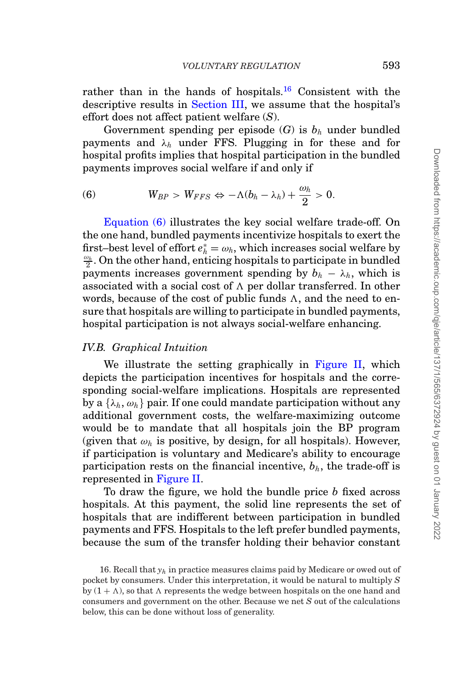rather than in the hands of hospitals.[16](#page-28-0) Consistent with the descriptive results in [Section III,](#page-12-0) we assume that the hospital's effort does not affect patient welfare (*S*).

Government spending per episode  $(G)$  is  $b<sub>h</sub>$  under bundled payments and  $\lambda_h$  under FFS. Plugging in for these and for hospital profits implies that hospital participation in the bundled payments improves social welfare if and only if

<span id="page-28-1"></span>(6) 
$$
W_{BP} > W_{FFS} \Leftrightarrow -\Lambda(b_h - \lambda_h) + \frac{\omega_h}{2} > 0.
$$

[Equation \(6\)](#page-28-1) illustrates the key social welfare trade-off. On the one hand, bundled payments incentivize hospitals to exert the first–best level of effort  $e_h^* = \omega_h$ , which increases social welfare by  $\frac{\omega_h}{\omega_h}$ . On the other hand, enticing bosnitals to participate in bundled  $\frac{\omega_h}{2}$ . On the other hand, enticing hospitals to participate in bundled payments increases government spending by  $b_h - \lambda_h$ , which is associated with a social cost of  $\Lambda$  per dollar transferred. In other words, because of the cost of public funds  $\Lambda$ , and the need to ensure that hospitals are willing to participate in bundled payments, hospital participation is not always social-welfare enhancing.

#### *IV.B. Graphical Intuition*

We illustrate the setting graphically in [Figure II,](#page-29-0) which depicts the participation incentives for hospitals and the corresponding social-welfare implications. Hospitals are represented by a  $\{\lambda_h, \omega_h\}$  pair. If one could mandate participation without any additional government costs, the welfare-maximizing outcome would be to mandate that all hospitals join the BP program (given that  $\omega_h$  is positive, by design, for all hospitals). However, if participation is voluntary and Medicare's ability to encourage participation rests on the financial incentive,  $b<sub>h</sub>$ , the trade-off is represented in [Figure II.](#page-29-0)

To draw the figure, we hold the bundle price *b* fixed across hospitals. At this payment, the solid line represents the set of hospitals that are indifferent between participation in bundled payments and FFS. Hospitals to the left prefer bundled payments, because the sum of the transfer holding their behavior constant

<span id="page-28-0"></span><sup>16.</sup> Recall that *yh* in practice measures claims paid by Medicare or owed out of pocket by consumers. Under this interpretation, it would be natural to multiply *S* by  $(1 + \Lambda)$ , so that  $\Lambda$  represents the wedge between hospitals on the one hand and consumers and government on the other. Because we net *S* out of the calculations below, this can be done without loss of generality.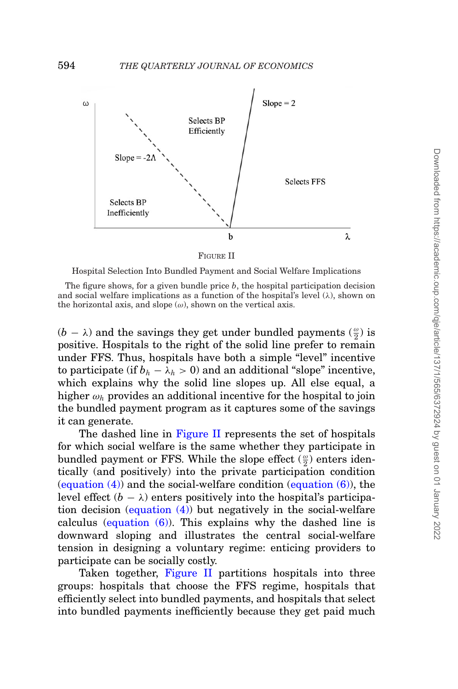<span id="page-29-0"></span>

FIGURE II

Hospital Selection Into Bundled Payment and Social Welfare Implications

The figure shows, for a given bundle price *b*, the hospital participation decision and social welfare implications as a function of the hospital's level  $(\lambda)$ , shown on the horizontal axis, and slope  $(\omega)$ , shown on the vertical axis.

 $(b - \lambda)$  and the savings they get under bundled payments  $(\frac{\omega}{2})$  is positive. Hospitals to the right of the solid line prefer to remain under FFS. Thus, hospitals have both a simple "level" incentive to participate (if  $b_h - \lambda_h > 0$ ) and an additional "slope" incentive, which explains why the solid line slopes up. All else equal, a higher  $\omega_h$  provides an additional incentive for the hospital to join the bundled payment program as it captures some of the savings it can generate.

The dashed line in [Figure II](#page-29-0) represents the set of hospitals for which social welfare is the same whether they participate in bundled payment or FFS. While the slope effect  $(\frac{\omega}{2})$  enters identically (and positively) into the private participation condition (equation  $(4)$ ) and the social-welfare condition (equation  $(6)$ ), the level effect  $(b - \lambda)$  enters positively into the hospital's participation decision [\(equation \(4\)\)](#page-27-0) but negatively in the social-welfare calculus (equation  $(6)$ ). This explains why the dashed line is downward sloping and illustrates the central social-welfare tension in designing a voluntary regime: enticing providers to participate can be socially costly.

Taken together, [Figure II](#page-29-0) partitions hospitals into three groups: hospitals that choose the FFS regime, hospitals that efficiently select into bundled payments, and hospitals that select into bundled payments inefficiently because they get paid much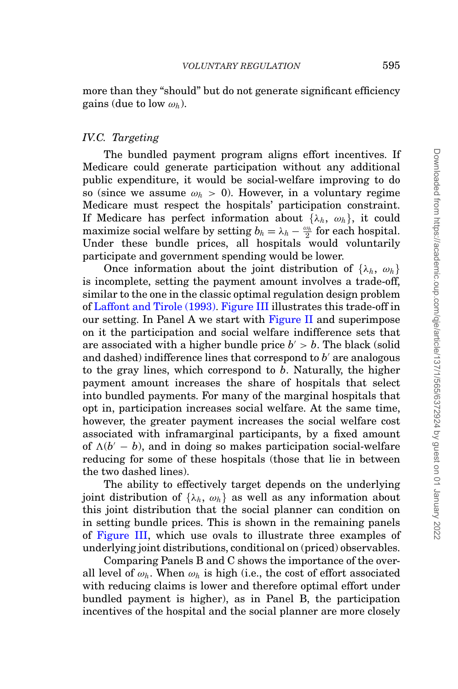more than they "should" but do not generate significant efficiency gains (due to low  $\omega_h$ ).

#### *IV.C. Targeting*

The bundled payment program aligns effort incentives. If Medicare could generate participation without any additional public expenditure, it would be social-welfare improving to do so (since we assume  $\omega_h > 0$ ). However, in a voluntary regime Medicare must respect the hospitals' participation constraint. If Medicare has perfect information about  $\{\lambda_h, \omega_h\}$ , it could maximize social welfare by setting  $b_h = \lambda_h - \frac{\omega_h}{2}$  for each hospital. Under these bundle prices, all hospitals would voluntarily participate and government spending would be lower.

Once information about the joint distribution of  $\{\lambda_h, \omega_h\}$ is incomplete, setting the payment amount involves a trade-off, similar to the one in the classic optimal regulation design problem of [Laffont and Tirole \(1993\).](#page-52-1) [Figure III](#page-31-0) illustrates this trade-off in our setting. In Panel A we start with [Figure II](#page-29-0) and superimpose on it the participation and social welfare indifference sets that are associated with a higher bundle price  $b' > b$ . The black (solid and dashed) indifference lines that correspond to  $b'$  are analogous to the gray lines, which correspond to *b*. Naturally, the higher payment amount increases the share of hospitals that select into bundled payments. For many of the marginal hospitals that opt in, participation increases social welfare. At the same time, however, the greater payment increases the social welfare cost associated with inframarginal participants, by a fixed amount of  $\Lambda(b' - b)$ , and in doing so makes participation social-welfare reducing for some of these hospitals (those that lie in between the two dashed lines).

The ability to effectively target depends on the underlying joint distribution of  $\{\lambda_h, \omega_h\}$  as well as any information about this joint distribution that the social planner can condition on in setting bundle prices. This is shown in the remaining panels of [Figure III,](#page-31-0) which use ovals to illustrate three examples of underlying joint distributions, conditional on (priced) observables.

Comparing Panels B and C shows the importance of the overall level of  $\omega_h$ . When  $\omega_h$  is high (i.e., the cost of effort associated with reducing claims is lower and therefore optimal effort under bundled payment is higher), as in Panel B, the participation incentives of the hospital and the social planner are more closely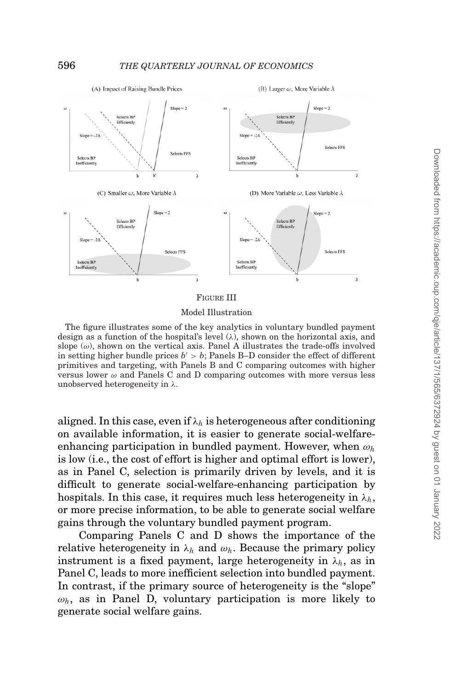<span id="page-31-0"></span>

#### FIGURE III

#### Model Illustration

The figure illustrates some of the key analytics in voluntary bundled payment design as a function of the hospital's level  $(\lambda)$ , shown on the horizontal axis, and slope  $(\omega)$ , shown on the vertical axis. Panel A illustrates the trade-offs involved in setting higher bundle prices  $b' > b$ ; Panels B-D consider the effect of different primitives and targeting, with Panels B and C comparing outcomes with higher versus lower  $\omega$  and Panels C and D comparing outcomes with more versus less unobserved heterogeneity in  $\lambda$ .

aligned. In this case, even if  $\lambda_h$  is heterogeneous after conditioning on available information, it is easier to generate social-welfareenhancing participation in bundled payment. However, when ω*<sup>h</sup>* is low (i.e., the cost of effort is higher and optimal effort is lower), as in Panel C, selection is primarily driven by levels, and it is difficult to generate social-welfare-enhancing participation by hospitals. In this case, it requires much less heterogeneity in  $\lambda_h$ , or more precise information, to be able to generate social welfare gains through the voluntary bundled payment program.

Comparing Panels C and D shows the importance of the relative heterogeneity in  $\lambda_h$  and  $\omega_h$ . Because the primary policy instrument is a fixed payment, large heterogeneity in  $\lambda_h$ , as in Panel C, leads to more inefficient selection into bundled payment. In contrast, if the primary source of heterogeneity is the "slope"  $\omega_h$ , as in Panel D, voluntary participation is more likely to generate social welfare gains.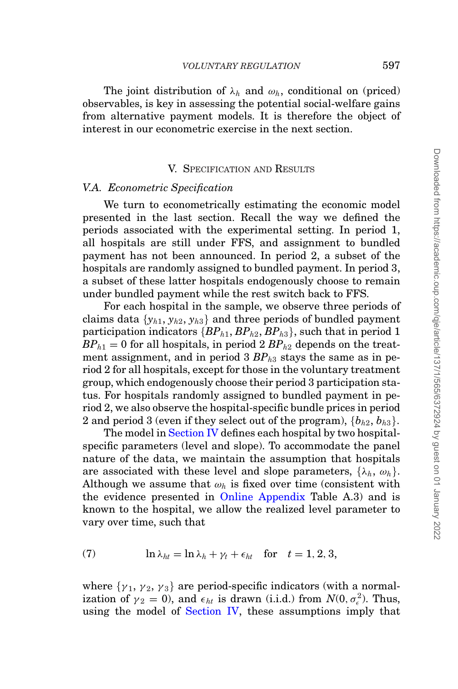The joint distribution of  $\lambda_h$  and  $\omega_h$ , conditional on (priced) observables, is key in assessing the potential social-welfare gains from alternative payment models. It is therefore the object of interest in our econometric exercise in the next section.

#### <span id="page-32-0"></span>V. SPECIFICATION AND RESULTS

#### *V.A. Econometric Specification*

We turn to econometrically estimating the economic model presented in the last section. Recall the way we defined the periods associated with the experimental setting. In period 1, all hospitals are still under FFS, and assignment to bundled payment has not been announced. In period 2, a subset of the hospitals are randomly assigned to bundled payment. In period 3, a subset of these latter hospitals endogenously choose to remain under bundled payment while the rest switch back to FFS.

For each hospital in the sample, we observe three periods of claims data  $\{y_{h1}, y_{h2}, y_{h3}\}\$ and three periods of bundled payment participation indicators  $\{BP_{h1}, BP_{h2}, BP_{h3}\}\$ , such that in period 1  $BP_{h1} = 0$  for all hospitals, in period 2  $BP_{h2}$  depends on the treatment assignment, and in period  $3 BP<sub>h3</sub>$  stays the same as in period 2 for all hospitals, except for those in the voluntary treatment group, which endogenously choose their period 3 participation status. For hospitals randomly assigned to bundled payment in period 2, we also observe the hospital-specific bundle prices in period 2 and period 3 (even if they select out of the program),  ${b_{h2}, b_{h3}}$ .

The model in [Section IV](#page-25-0) defines each hospital by two hospitalspecific parameters (level and slope). To accommodate the panel nature of the data, we maintain the assumption that hospitals are associated with these level and slope parameters,  $\{\lambda_h, \omega_h\}$ . Although we assume that  $\omega_h$  is fixed over time (consistent with the evidence presented in [Online Appendix](file:qje.oxfordjournals.org) Table A.3) and is known to the hospital, we allow the realized level parameter to vary over time, such that

<span id="page-32-1"></span>(7) 
$$
\ln \lambda_{ht} = \ln \lambda_h + \gamma_t + \epsilon_{ht} \quad \text{for} \quad t = 1, 2, 3,
$$

where  $\{\gamma_1, \gamma_2, \gamma_3\}$  are period-specific indicators (with a normalization of  $\gamma_2 = 0$ , and  $\epsilon_{ht}$  is drawn (i.i.d.) from  $N(0, \sigma_{\epsilon}^2)$ . Thus, using the model of [Section IV,](#page-25-0) these assumptions imply that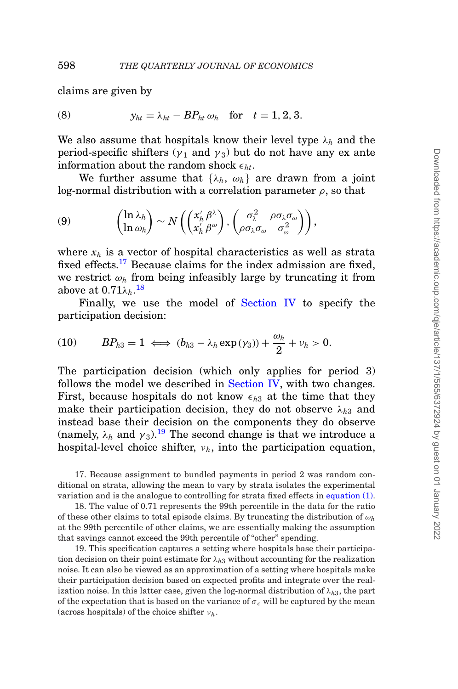claims are given by

<span id="page-33-3"></span>(8) 
$$
y_{ht} = \lambda_{ht} - BP_{ht} \omega_h \text{ for } t = 1, 2, 3.
$$

We also assume that hospitals know their level type  $\lambda_h$  and the period-specific shifters ( $\gamma_1$  and  $\gamma_3$ ) but do not have any ex ante information about the random shock  $\epsilon_{ht}$ .

We further assume that  $\{\lambda_h, \omega_h\}$  are drawn from a joint log-normal distribution with a correlation parameter  $\rho$ , so that

$$
(9) \qquad \begin{pmatrix} \ln \lambda_h \\ \ln \omega_h \end{pmatrix} \sim N \left( \begin{pmatrix} x_h' \beta^\lambda \\ x_h' \beta^\omega \end{pmatrix}, \begin{pmatrix} \sigma_\lambda^2 & \rho \sigma_\lambda \sigma_\omega \\ \rho \sigma_\lambda \sigma_\omega & \sigma_\omega^2 \end{pmatrix} \right),
$$

where *xh* is a vector of hospital characteristics as well as strata fixed effects.<sup>[17](#page-33-0)</sup> Because claims for the index admission are fixed, we restrict  $\omega_h$  from being infeasibly large by truncating it from above at  $0.71\lambda_h$ .<sup>[18](#page-33-1)</sup>

Finally, we use the model of [Section IV](#page-25-0) to specify the participation decision:

<span id="page-33-4"></span>(10) 
$$
BP_{h3}=1 \iff (b_{h3}-\lambda_h\exp(\gamma_3))+\frac{\omega_h}{2}+\nu_h>0.
$$

The participation decision (which only applies for period 3) follows the model we described in [Section IV,](#page-25-0) with two changes. First, because hospitals do not know  $\epsilon_{h3}$  at the time that they make their participation decision, they do not observe  $\lambda_{h3}$  and instead base their decision on the components they do observe (namely,  $\lambda_h$  and  $\gamma_3$ ).<sup>[19](#page-33-2)</sup> The second change is that we introduce a hospital-level choice shifter, ν*h*, into the participation equation,

<span id="page-33-0"></span>17. Because assignment to bundled payments in period 2 was random conditional on strata, allowing the mean to vary by strata isolates the experimental variation and is the analogue to controlling for strata fixed effects in [equation \(1\).](#page-14-0)

<span id="page-33-1"></span>18. The value of 0.71 represents the 99th percentile in the data for the ratio of these other claims to total episode claims. By truncating the distribution of ω*<sup>h</sup>* at the 99th percentile of other claims, we are essentially making the assumption that savings cannot exceed the 99th percentile of "other" spending.

<span id="page-33-2"></span>19. This specification captures a setting where hospitals base their participation decision on their point estimate for  $\lambda_{h3}$  without accounting for the realization noise. It can also be viewed as an approximation of a setting where hospitals make their participation decision based on expected profits and integrate over the realization noise. In this latter case, given the log-normal distribution of  $\lambda_{h3}$ , the part of the expectation that is based on the variance of  $\sigma_{\epsilon}$  will be captured by the mean (across hospitals) of the choice shifter ν*h*.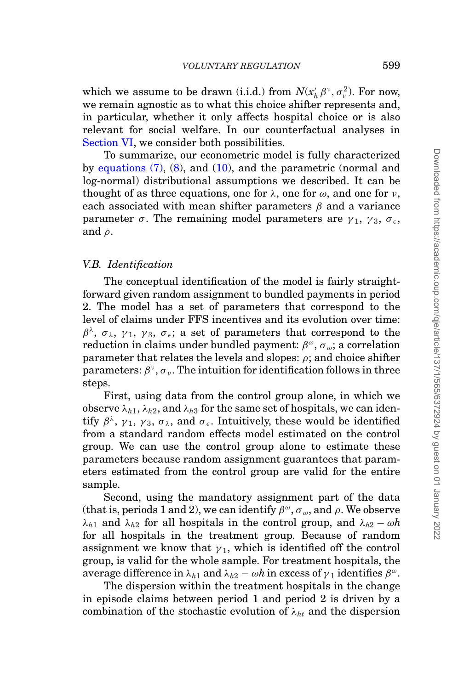which we assume to be drawn (i.i.d.) from  $N(x_h' \beta^v, \sigma_v^2)$ . For now, we remain agnostic as to what this choice shifter represents and, in particular, whether it only affects hospital choice or is also relevant for social welfare. In our counterfactual analyses in [Section VI,](#page-40-0) we consider both possibilities.

To summarize, our econometric model is fully characterized by equations  $(7)$ ,  $(8)$ , and  $(10)$ , and the parametric (normal and log-normal) distributional assumptions we described. It can be thought of as three equations, one for  $\lambda$ , one for  $\omega$ , and one for  $\nu$ . each associated with mean shifter parameters  $\beta$  and a variance parameter  $\sigma$ . The remaining model parameters are  $\gamma_1$ ,  $\gamma_3$ ,  $\sigma_{\epsilon}$ , and  $\rho$ .

#### *V.B. Identification*

The conceptual identification of the model is fairly straightforward given random assignment to bundled payments in period 2. The model has a set of parameters that correspond to the level of claims under FFS incentives and its evolution over time:  $\beta^{\lambda}$ ,  $\sigma_{\lambda}$ ,  $\gamma_1$ ,  $\gamma_3$ ,  $\sigma_{\epsilon}$ ; a set of parameters that correspond to the reduction in claims under bundled payment:  $\beta^{\omega}$ ,  $\sigma_{\omega}$ ; a correlation parameter that relates the levels and slopes:  $\rho$ ; and choice shifter parameters:  $\beta^{\nu}$ ,  $\sigma_{\nu}$ . The intuition for identification follows in three steps.

First, using data from the control group alone, in which we observe  $\lambda_{h1}$ ,  $\lambda_{h2}$ , and  $\lambda_{h3}$  for the same set of hospitals, we can identify  $\beta^{\lambda}$ ,  $\gamma_1$ ,  $\gamma_3$ ,  $\sigma_{\lambda}$ , and  $\sigma_{\epsilon}$ . Intuitively, these would be identified from a standard random effects model estimated on the control group. We can use the control group alone to estimate these parameters because random assignment guarantees that parameters estimated from the control group are valid for the entire sample.

Second, using the mandatory assignment part of the data (that is, periods 1 and 2), we can identify  $\beta^{\omega}$ ,  $\sigma_{\omega}$ , and  $\rho$ . We observe  $λ<sub>h1</sub>$  and  $λ<sub>h2</sub>$  for all hospitals in the control group, and  $λ<sub>h2</sub> − ωh$ for all hospitals in the treatment group. Because of random assignment we know that  $\gamma_1$ , which is identified off the control group, is valid for the whole sample. For treatment hospitals, the average difference in  $\lambda_{h1}$  and  $\lambda_{h2} - \omega h$  in excess of  $\gamma_1$  identifies  $\beta^{\omega}$ .

The dispersion within the treatment hospitals in the change in episode claims between period 1 and period 2 is driven by a combination of the stochastic evolution of λ*ht* and the dispersion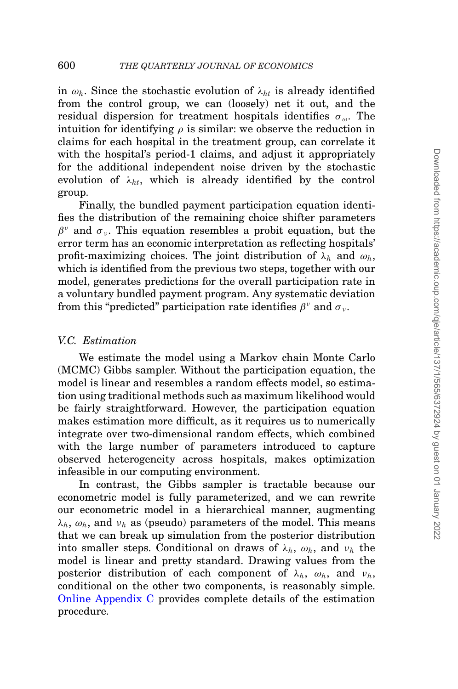in  $\omega_h$ . Since the stochastic evolution of  $\lambda_{ht}$  is already identified from the control group, we can (loosely) net it out, and the residual dispersion for treatment hospitals identifies  $\sigma_{\omega}$ . The intuition for identifying  $\rho$  is similar: we observe the reduction in claims for each hospital in the treatment group, can correlate it with the hospital's period-1 claims, and adjust it appropriately for the additional independent noise driven by the stochastic evolution of  $\lambda_{ht}$ , which is already identified by the control group.

Finally, the bundled payment participation equation identifies the distribution of the remaining choice shifter parameters  $\beta^{\nu}$  and  $\sigma_{\nu}$ . This equation resembles a probit equation, but the error term has an economic interpretation as reflecting hospitals' profit-maximizing choices. The joint distribution of  $\lambda_h$  and  $\omega_h$ , which is identified from the previous two steps, together with our model, generates predictions for the overall participation rate in a voluntary bundled payment program. Any systematic deviation from this "predicted" participation rate identifies  $\beta^{\nu}$  and  $\sigma_{\nu}$ .

#### *V.C. Estimation*

We estimate the model using a Markov chain Monte Carlo (MCMC) Gibbs sampler. Without the participation equation, the model is linear and resembles a random effects model, so estimation using traditional methods such as maximum likelihood would be fairly straightforward. However, the participation equation makes estimation more difficult, as it requires us to numerically integrate over two-dimensional random effects, which combined with the large number of parameters introduced to capture observed heterogeneity across hospitals, makes optimization infeasible in our computing environment.

In contrast, the Gibbs sampler is tractable because our econometric model is fully parameterized, and we can rewrite our econometric model in a hierarchical manner, augmenting  $\lambda_h$ ,  $\omega_h$ , and  $\nu_h$  as (pseudo) parameters of the model. This means that we can break up simulation from the posterior distribution into smaller steps. Conditional on draws of  $\lambda_h$ ,  $\omega_h$ , and  $\nu_h$  the model is linear and pretty standard. Drawing values from the posterior distribution of each component of  $\lambda_h$ ,  $\omega_h$ , and  $\nu_h$ , conditional on the other two components, is reasonably simple. [Online Appendix C](file:qje.oxfordjournals.org) provides complete details of the estimation procedure.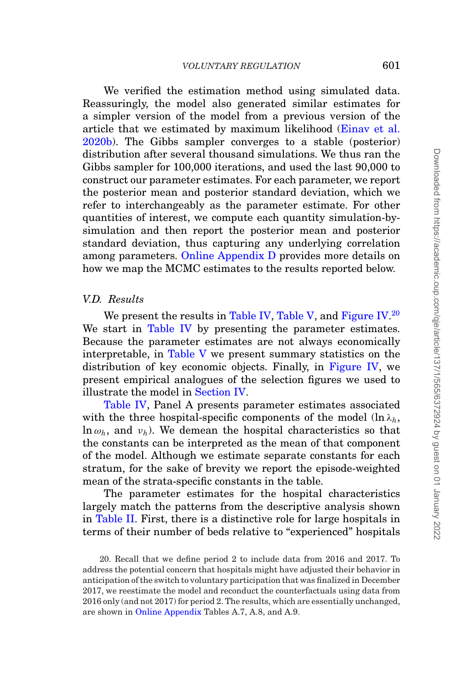We verified the estimation method using simulated data. Reassuringly, the model also generated similar estimates for a simpler version of the model from a previous version of the article that we estimated by maximum likelihood [\(Einav et al.](#page-51-13) [2020b\)](#page-51-13). The Gibbs sampler converges to a stable (posterior) distribution after several thousand simulations. We thus ran the Gibbs sampler for 100,000 iterations, and used the last 90,000 to construct our parameter estimates. For each parameter, we report the posterior mean and posterior standard deviation, which we refer to interchangeably as the parameter estimate. For other quantities of interest, we compute each quantity simulation-bysimulation and then report the posterior mean and posterior standard deviation, thus capturing any underlying correlation among parameters. [Online Appendix D](file:qje.oxfordjournals.org) provides more details on how we map the MCMC estimates to the results reported below.

# *V.D. Results*

We present the results in [Table IV,](#page-37-0) [Table V,](#page-38-0) and [Figure IV.](#page-38-1) $^{20}$  $^{20}$  $^{20}$ We start in [Table IV](#page-37-0) by presenting the parameter estimates. Because the parameter estimates are not always economically interpretable, in [Table V](#page-38-0) we present summary statistics on the distribution of key economic objects. Finally, in [Figure IV,](#page-38-1) we present empirical analogues of the selection figures we used to illustrate the model in [Section IV.](#page-25-0)

[Table IV,](#page-37-0) Panel A presents parameter estimates associated with the three hospital-specific components of the model  $(\ln \lambda_h,$  $\ln \omega_h$ , and  $\nu_h$ ). We demean the hospital characteristics so that the constants can be interpreted as the mean of that component of the model. Although we estimate separate constants for each stratum, for the sake of brevity we report the episode-weighted mean of the strata-specific constants in the table.

The parameter estimates for the hospital characteristics largely match the patterns from the descriptive analysis shown in [Table II.](#page-20-0) First, there is a distinctive role for large hospitals in terms of their number of beds relative to "experienced" hospitals

<span id="page-36-0"></span><sup>20.</sup> Recall that we define period 2 to include data from 2016 and 2017. To address the potential concern that hospitals might have adjusted their behavior in anticipation of the switch to voluntary participation that was finalized in December 2017, we reestimate the model and reconduct the counterfactuals using data from 2016 only (and not 2017) for period 2. The results, which are essentially unchanged, are shown in [Online Appendix](file:qje.oxfordjournals.org) Tables A.7, A.8, and A.9.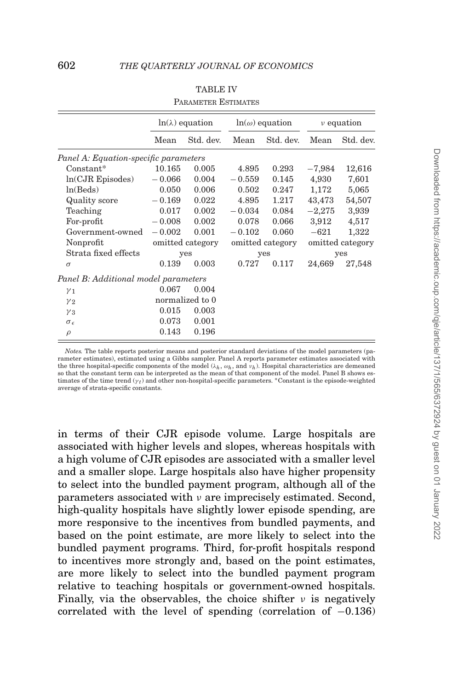<span id="page-37-0"></span>

|                                       |          | $ln(\lambda)$ equation |          | $ln(\omega)$ equation |          | $\nu$ equation   |
|---------------------------------------|----------|------------------------|----------|-----------------------|----------|------------------|
|                                       | Mean     | Std. dev.              | Mean     | Std. dev.             | Mean     | Std. dev.        |
| Panel A: Equation-specific parameters |          |                        |          |                       |          |                  |
| $Constant*$                           | 10.165   | 0.005                  | 4.895    | 0.293                 | $-7,984$ | 12,616           |
| $ln(CJR)$ Episodes)                   | $-0.066$ | 0.004                  | $-0.559$ | 0.145                 | 4,930    | 7,601            |
| ln(Beds)                              | 0.050    | 0.006                  | 0.502    | 0.247                 | 1,172    | 5,065            |
| Quality score                         | $-0.169$ | 0.022                  | 4.895    | 1.217                 | 43,473   | 54,507           |
| Teaching                              | 0.017    | 0.002                  | $-0.034$ | 0.084                 | $-2,275$ | 3,939            |
| For-profit                            | $-0.008$ | 0.002                  | 0.078    | 0.066                 | 3,912    | 4,517            |
| Government-owned                      | $-0.002$ | 0.001                  | $-0.102$ | 0.060                 | $-621$   | 1,322            |
| Nonprofit                             |          | omitted category       |          | omitted category      |          | omitted category |
| Strata fixed effects                  |          | yes                    |          | yes                   |          | yes              |
| $\sigma$                              | 0.139    | 0.003                  | 0.727    | 0.117                 | 24,669   | 27,548           |
| Panel B: Additional model parameters  |          |                        |          |                       |          |                  |
| $\gamma_1$                            | 0.067    | 0.004                  |          |                       |          |                  |
| $y_{2}$                               |          | normalized to 0        |          |                       |          |                  |
| $\gamma_3$                            | 0.015    | 0.003                  |          |                       |          |                  |
| $\sigma_{\epsilon}$                   | 0.073    | 0.001                  |          |                       |          |                  |
| $\rho$                                | 0.143    | 0.196                  |          |                       |          |                  |

| <b>TABLE IV</b>            |
|----------------------------|
| <b>PARAMETER ESTIMATES</b> |

*Notes.* The table reports posterior means and posterior standard deviations of the model parameters (parameter estimates), estimated using a Gibbs sampler. Panel A reports parameter estimates associated with the three hospital-specific components of the model (λ*h*, ω*h*, and ν*h*). Hospital characteristics are demeaned so that the constant term can be interpreted as the mean of that component of the model. Panel B shows estimates of the time trend  $(y_t)$  and other non-hospital-specific parameters. \*Constant is the episode-weighted average of strata-specific constants.

in terms of their CJR episode volume. Large hospitals are associated with higher levels and slopes, whereas hospitals with a high volume of CJR episodes are associated with a smaller level and a smaller slope. Large hospitals also have higher propensity to select into the bundled payment program, although all of the parameters associated with ν are imprecisely estimated. Second, high-quality hospitals have slightly lower episode spending, are more responsive to the incentives from bundled payments, and based on the point estimate, are more likely to select into the bundled payment programs. Third, for-profit hospitals respond to incentives more strongly and, based on the point estimates, are more likely to select into the bundled payment program relative to teaching hospitals or government-owned hospitals. Finally, via the observables, the choice shifter  $\nu$  is negatively correlated with the level of spending (correlation of −0.136)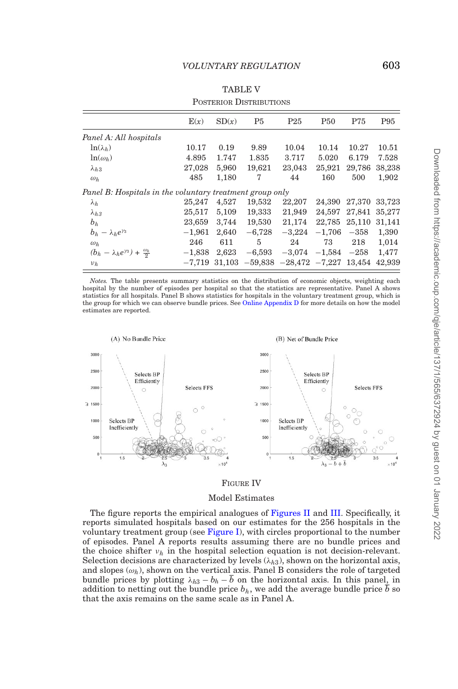#### TABLE V

<span id="page-38-0"></span>

|                                                          | E(x)     | SD(x)  | P <sub>5</sub> | P25                 | P <sub>50</sub> | P75    | P95    |
|----------------------------------------------------------|----------|--------|----------------|---------------------|-----------------|--------|--------|
| Panel A: All hospitals                                   |          |        |                |                     |                 |        |        |
| $\ln(\lambda_h)$                                         | 10.17    | 0.19   | 9.89           | 10.04               | 10.14           | 10.27  | 10.51  |
| $\ln(\omega_h)$                                          | 4.895    | 1.747  | 1.835          | 3.717               | 5.020           | 6.179  | 7.528  |
| $\lambda_{h,3}$                                          | 27,028   | 5,960  | 19,621         | 23,043              | 25,921          | 29,786 | 38,238 |
| $\omega_h$                                               | 485      | 1,180  | 7              | 44                  | 160             | 500    | 1,902  |
| Panel B: Hospitals in the voluntary treatment group only |          |        |                |                     |                 |        |        |
| $\lambda_h$                                              | 25,247   | 4,527  | 19,532         | 22,207              | 24.390          | 27,370 | 33,723 |
| $\lambda_{h,3}$                                          | 25,517   | 5,109  | 19,333         | 21,949              | 24.597          | 27,841 | 35,277 |
| $b_h$                                                    | 23,659   | 3,744  | 19,530         | 21,174              | 22,785          | 25,110 | 31,141 |
| $b_h - \lambda_h e^{\gamma_3}$                           | $-1,961$ | 2,640  | $-6,728$       | $-3,224$            | $-1,706$        | $-358$ | 1,390  |
| $\omega_h$                                               | 246      | 611    | 5              | 24                  | 73              | 218    | 1,014  |
| $(b_h - \lambda_h e^{\gamma_3}) + \frac{\omega_h}{2}$    | $-1,838$ | 2,623  | $-6,593$       | $-3,074$            | $-1,584$        | $-258$ | 1,477  |
| $\nu_h$                                                  | $-7.719$ | 31.103 |                | $-59,838$ $-28,472$ | $-7,227$        | 13,454 | 42,939 |

#### POSTERIOR DISTRIBUTIONS

*Notes.* The table presents summary statistics on the distribution of economic objects, weighting each hospital by the number of episodes per hospital so that the statistics are representative. Panel A shows statistics for all hospitals. Panel B shows statistics for hospitals in the voluntary treatment group, which is the group for which we can observe bundle prices. See [Online Appendix D](file:qje.oxfordjournals.org) for more details on how the model estimates are reported.

<span id="page-38-1"></span>

#### FIGURE IV

#### Model Estimates

The figure reports the empirical analogues of [Figures II](#page-29-0) and [III.](#page-31-0) Specifically, it reports simulated hospitals based on our estimates for the 256 hospitals in the voluntary treatment group (see [Figure I\)](#page-11-1), with circles proportional to the number of episodes. Panel A reports results assuming there are no bundle prices and the choice shifter  $\nu_h$  in the hospital selection equation is not decision-relevant. Selection decisions are characterized by levels  $(\lambda_{h3})$ , shown on the horizontal axis, and slopes  $(\omega_h)$ , shown on the vertical axis. Panel B considers the role of targeted bundle prices by plotting  $\lambda_{h3} - b_h - \overline{b}$  on the horizontal axis. In this panel, in addition to netting out the bundle price  $b_h$ , we add the average bundle price  $\overline{b}$  so that the axis remains on the same scale as in Panel A.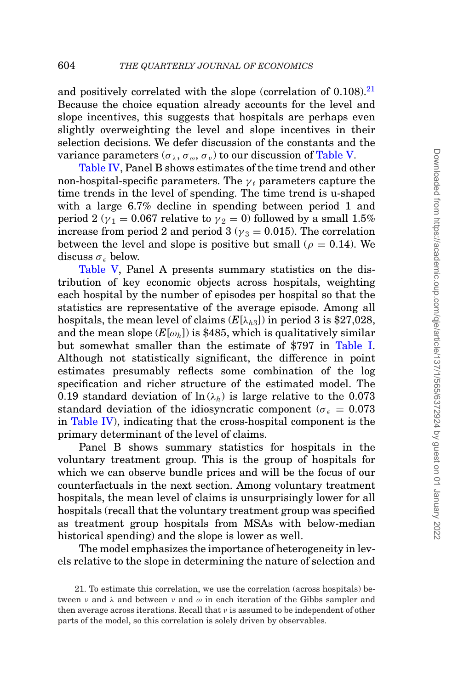and positively correlated with the slope (correlation of  $0.108$ ).<sup>21</sup> Because the choice equation already accounts for the level and slope incentives, this suggests that hospitals are perhaps even slightly overweighting the level and slope incentives in their selection decisions. We defer discussion of the constants and the variance parameters  $(\sigma_{\lambda}, \sigma_{\omega}, \sigma_{\nu})$  to our discussion of [Table V.](#page-38-0)

[Table IV,](#page-37-0) Panel B shows estimates of the time trend and other non-hospital-specific parameters. The  $\gamma_t$  parameters capture the time trends in the level of spending. The time trend is u-shaped with a large 6.7% decline in spending between period 1 and period 2 ( $y_1 = 0.067$  relative to  $y_2 = 0$ ) followed by a small 1.5% increase from period 2 and period 3 ( $y_3 = 0.015$ ). The correlation between the level and slope is positive but small ( $\rho = 0.14$ ). We discuss  $\sigma_{\epsilon}$  below.

[Table V,](#page-38-0) Panel A presents summary statistics on the distribution of key economic objects across hospitals, weighting each hospital by the number of episodes per hospital so that the statistics are representative of the average episode. Among all hospitals, the mean level of claims  $(E[\lambda_{h3}])$  in period 3 is \$27,028, and the mean slope  $(E[\omega_h])$  is \$485, which is qualitatively similar but somewhat smaller than the estimate of \$797 in [Table I.](#page-15-0) Although not statistically significant, the difference in point estimates presumably reflects some combination of the log specification and richer structure of the estimated model. The 0.19 standard deviation of  $\ln(\lambda_h)$  is large relative to the 0.073 standard deviation of the idiosyncratic component ( $\sigma_{\epsilon} = 0.073$ ) in [Table IV\)](#page-37-0), indicating that the cross-hospital component is the primary determinant of the level of claims.

Panel B shows summary statistics for hospitals in the voluntary treatment group. This is the group of hospitals for which we can observe bundle prices and will be the focus of our counterfactuals in the next section. Among voluntary treatment hospitals, the mean level of claims is unsurprisingly lower for all hospitals (recall that the voluntary treatment group was specified as treatment group hospitals from MSAs with below-median historical spending) and the slope is lower as well.

The model emphasizes the importance of heterogeneity in levels relative to the slope in determining the nature of selection and

<span id="page-39-0"></span><sup>21.</sup> To estimate this correlation, we use the correlation (across hospitals) between  $\nu$  and  $\lambda$  and between  $\nu$  and  $\omega$  in each iteration of the Gibbs sampler and then average across iterations. Recall that  $\nu$  is assumed to be independent of other parts of the model, so this correlation is solely driven by observables.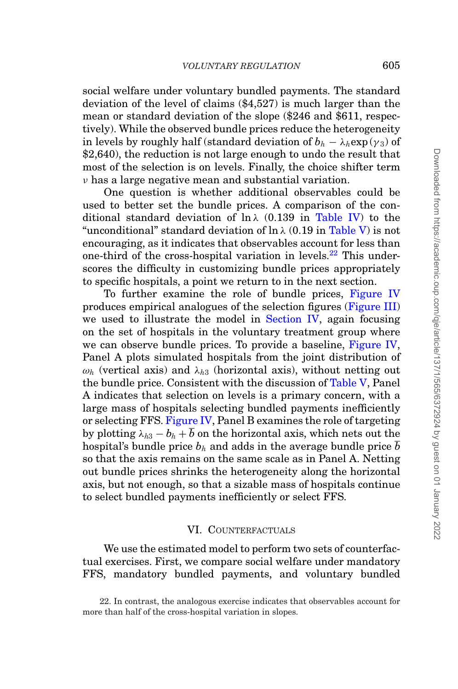social welfare under voluntary bundled payments. The standard deviation of the level of claims (\$4,527) is much larger than the mean or standard deviation of the slope (\$246 and \$611, respectively). While the observed bundle prices reduce the heterogeneity in levels by roughly half (standard deviation of  $b_h - \lambda_h \exp(\gamma_3)$  of \$2,640), the reduction is not large enough to undo the result that most of the selection is on levels. Finally, the choice shifter term  $\nu$  has a large negative mean and substantial variation.

One question is whether additional observables could be used to better set the bundle prices. A comparison of the conditional standard deviation of  $\ln \lambda$  (0.139 in [Table IV\)](#page-37-0) to the "unconditional" standard deviation of  $\ln \lambda$  (0.19 in [Table V\)](#page-38-0) is not encouraging, as it indicates that observables account for less than one-third of the cross-hospital variation in levels.<sup>22</sup> This underscores the difficulty in customizing bundle prices appropriately to specific hospitals, a point we return to in the next section.

To further examine the role of bundle prices, [Figure IV](#page-38-1) produces empirical analogues of the selection figures [\(Figure III\)](#page-31-0) we used to illustrate the model in [Section IV,](#page-25-0) again focusing on the set of hospitals in the voluntary treatment group where we can observe bundle prices. To provide a baseline, [Figure IV,](#page-38-1) Panel A plots simulated hospitals from the joint distribution of  $\omega_h$  (vertical axis) and  $\lambda_{h3}$  (horizontal axis), without netting out the bundle price. Consistent with the discussion of [Table V,](#page-38-0) Panel A indicates that selection on levels is a primary concern, with a large mass of hospitals selecting bundled payments inefficiently or selecting FFS. [Figure IV,](#page-38-1) Panel B examines the role of targeting by plotting  $\lambda_{h3} - b_h + \overline{b}$  on the horizontal axis, which nets out the hospital's bundle price  $b_h$  and adds in the average bundle price  $\overline{b}$ so that the axis remains on the same scale as in Panel A. Netting out bundle prices shrinks the heterogeneity along the horizontal axis, but not enough, so that a sizable mass of hospitals continue to select bundled payments inefficiently or select FFS.

#### <span id="page-40-0"></span>VI. COUNTERFACTUALS

We use the estimated model to perform two sets of counterfactual exercises. First, we compare social welfare under mandatory FFS, mandatory bundled payments, and voluntary bundled

<span id="page-40-1"></span><sup>22.</sup> In contrast, the analogous exercise indicates that observables account for more than half of the cross-hospital variation in slopes.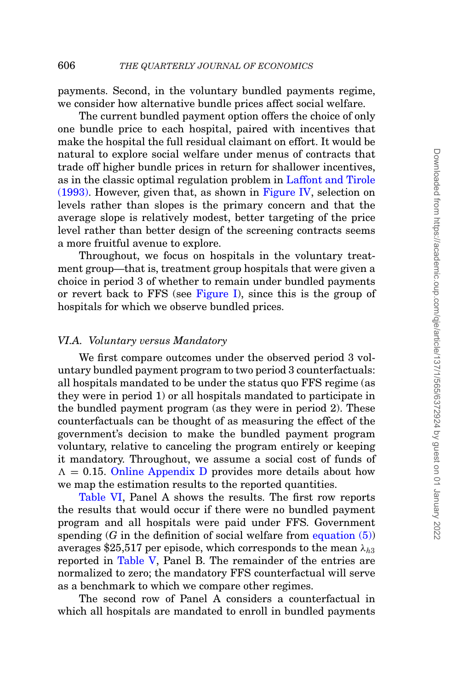payments. Second, in the voluntary bundled payments regime, we consider how alternative bundle prices affect social welfare.

The current bundled payment option offers the choice of only one bundle price to each hospital, paired with incentives that make the hospital the full residual claimant on effort. It would be natural to explore social welfare under menus of contracts that trade off higher bundle prices in return for shallower incentives, as in the classic optimal regulation problem in [Laffont and Tirole](#page-52-1) [\(1993\).](#page-52-1) However, given that, as shown in [Figure IV,](#page-38-1) selection on levels rather than slopes is the primary concern and that the average slope is relatively modest, better targeting of the price level rather than better design of the screening contracts seems a more fruitful avenue to explore.

Throughout, we focus on hospitals in the voluntary treatment group—that is, treatment group hospitals that were given a choice in period 3 of whether to remain under bundled payments or revert back to FFS (see [Figure I\)](#page-11-1), since this is the group of hospitals for which we observe bundled prices.

# *VI.A. Voluntary versus Mandatory*

We first compare outcomes under the observed period 3 voluntary bundled payment program to two period 3 counterfactuals: all hospitals mandated to be under the status quo FFS regime (as they were in period 1) or all hospitals mandated to participate in the bundled payment program (as they were in period 2). These counterfactuals can be thought of as measuring the effect of the government's decision to make the bundled payment program voluntary, relative to canceling the program entirely or keeping it mandatory. Throughout, we assume a social cost of funds of  $\Lambda = 0.15$ . [Online Appendix D](file:qje.oxfordjournals.org) provides more details about how we map the estimation results to the reported quantities.

[Table VI,](#page-42-0) Panel A shows the results. The first row reports the results that would occur if there were no bundled payment program and all hospitals were paid under FFS. Government spending  $(G \text{ in the definition of social welfare from equation } (5))$ averages \$25,517 per episode, which corresponds to the mean  $\lambda_{h3}$ reported in [Table V,](#page-38-0) Panel B. The remainder of the entries are normalized to zero; the mandatory FFS counterfactual will serve as a benchmark to which we compare other regimes.

The second row of Panel A considers a counterfactual in which all hospitals are mandated to enroll in bundled payments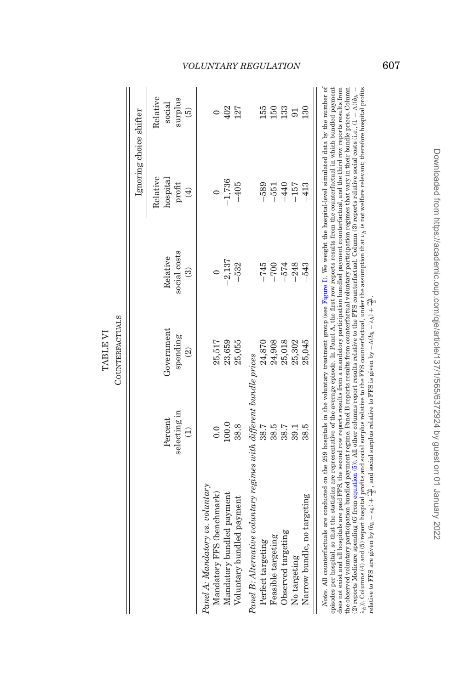|                                                                     |                                     | <b>COUNTERFACTUALS</b>                             |                                                     |                                             |                         |
|---------------------------------------------------------------------|-------------------------------------|----------------------------------------------------|-----------------------------------------------------|---------------------------------------------|-------------------------|
|                                                                     |                                     |                                                    |                                                     | Ignoring choice shifter                     |                         |
|                                                                     | selecting in<br>Percent<br>$\Theta$ | Government<br>spending<br>$\widehat{\mathfrak{D}}$ | social costs<br>Relative<br>$\widehat{\mathcal{C}}$ | Relative<br>hospital<br>profit $\binom{4}{$ | Relati<br>$\frac{1}{2}$ |
| Panel A: Mandatory vs. voluntary<br>Mandatory FFS (benchmark)       | 0.0                                 | 25,517                                             |                                                     |                                             |                         |
| Mandatory bundled payment                                           | 100.0                               | 23,659                                             | $-2,137$                                            | $-1,736$                                    | 402                     |
| Voluntary bundled payment                                           | 38.8                                | 25,055                                             | $-532$                                              | $-405$                                      | 127                     |
| Panel B: Alternative voluntary regimes with different bundle prices |                                     |                                                    |                                                     |                                             |                         |
| Perfect targeting                                                   | 38.7                                | 24,870                                             | $-745$                                              | $-589$                                      | 155                     |
| <b>Feasible targeting</b>                                           | 38.5                                | 24,908                                             | $-700$                                              | $-551$                                      | 150                     |
| Observed targeting                                                  | 38.7                                | 25,018                                             | $-574$                                              | $-440$                                      | 133                     |
| No targeting                                                        | 39.1                                | 25,302                                             | $-248$                                              | $-157$                                      | 91                      |
| Narrow bundle, no targeting                                         | 38.5                                | 25,045                                             | $-543$                                              | 413                                         | 130                     |

 $\overline{1}$  $\lambda_h$  )). Columns (4) and (5) report hospital profits and social surplus relative to the FFS counterfactual, under the assumption that  $\nu_h$  is not welfare relevant; therefore hospital profits relative to FFS is given by Notes. All counterfactuals are conducted on the 259 hospitals in the voluntary treatment group (see Figure 1). We weight the hospital-level simulated data by the number of episodes per hospital, so that the statistics are representative of the average episode. In Panel A, the first row reports results from the counterfactual in which bundled payment does not exist and all hospitals are paid FFS, the second row reports results from a mandatory participation bundled payment counterfactual, and the third row reports results from the observed voluntary participation bundled payment regime. Panel B reports results from counterfactual voluntary participation regimes that vary in their bundle prices. Column *Notes.* All counterfactuals are conducted on the 259 hospitals in the voluntary treatment group (see [Figure](#page-11-1) I). We weight the hospital-level simulated data by the number of episodes per hospital, so that the statistics are representative of the average episode. In Panel A, the first row reports results from the counterfactual in which bundled payment does not exist and all hospitals are paid FFS, the second row reports results from a mandatory participation bundled payment counterfactual, and the third row reports results from the observed voluntary participation bundled payment regime. Panel B reports results from counterfactual voluntary participation regimes that vary in their bundle prices. Column (2) reports Medicare spending (*G* from [equation](#page-27-1) (5)). All other columns report results relative to the FFS counterfactual. Column (3) reports relative social costs (i.e., (1 + )(*bh* − λ*h*)). Columns (4) and (5) report hospital profits and social surplus relative to the FFS counterfactual, under the assumption that ν*h* is not welfare relevant; therefore hospital profits (2) reports Medicare spending (G from equation (5)). All other columns report results relative to the FFS counterfactual. Column (3) reports relative social costs (i.e.,  $(1 + \Lambda)\delta_h$ relative to FFS are given by  $(b_h - \lambda_h) + \frac{\omega_h}{2}$ , and social surplus relative to FFS is given by −  $\Lambda(b_h - \lambda_h) + \frac{\omega_h}{2}$ .

# *VOLUNTARY REGULATION* 607

402<br>127

**150**<br>150<br>133

 $\frac{5}{3}$ 

lative social surplus

 $\overline{5}$ 

ter

<span id="page-42-0"></span>TABLE<sub>VI</sub> TABLE VI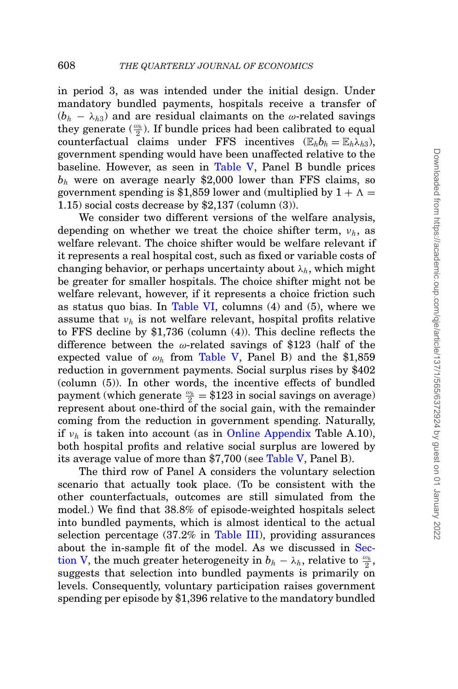in period 3, as was intended under the initial design. Under mandatory bundled payments, hospitals receive a transfer of  $(b_h - \lambda_h)$  and are residual claimants on the  $\omega$ -related savings they generate  $(\frac{\omega_h}{2})$ . If bundle prices had been calibrated to equal counterfactual claims under FFS incentives  $(\mathbb{E}_h b_h = \mathbb{E}_h \lambda_{h3})$ , government spending would have been unaffected relative to the baseline. However, as seen in [Table V,](#page-38-0) Panel B bundle prices  $b<sub>h</sub>$  were on average nearly \$2,000 lower than FFS claims, so government spending is \$1,859 lower and (multiplied by  $1 + \Lambda =$ 1.15) social costs decrease by \$2,137 (column (3)).

We consider two different versions of the welfare analysis, depending on whether we treat the choice shifter term, ν*h*, as welfare relevant. The choice shifter would be welfare relevant if it represents a real hospital cost, such as fixed or variable costs of changing behavior, or perhaps uncertainty about  $\lambda_h$ , which might be greater for smaller hospitals. The choice shifter might not be welfare relevant, however, if it represents a choice friction such as status quo bias. In [Table VI,](#page-42-0) columns (4) and (5), where we assume that  $v_h$  is not welfare relevant, hospital profits relative to FFS decline by \$1,736 (column (4)). This decline reflects the difference between the  $\omega$ -related savings of \$123 (half of the expected value of  $\omega_h$  from [Table V,](#page-38-0) Panel B) and the \$1,859 reduction in government payments. Social surplus rises by \$402 (column (5)). In other words, the incentive effects of bundled payment (which generate  $\frac{\omega_h}{2} = $123$  in social savings on average) represent about one-third of the social gain, with the remainder coming from the reduction in government spending. Naturally, if  $v_h$  is taken into account (as in [Online Appendix](file:qje.oxfordjournals.org) Table A.10), both hospital profits and relative social surplus are lowered by its average value of more than \$7,700 (see [Table V,](#page-38-0) Panel B).

The third row of Panel A considers the voluntary selection scenario that actually took place. (To be consistent with the other counterfactuals, outcomes are still simulated from the model.) We find that 38.8% of episode-weighted hospitals select into bundled payments, which is almost identical to the actual selection percentage (37.2% in [Table III\)](#page-24-0), providing assurances about the in-sample fit of the model. As we discussed in [Sec](#page-32-0)[tion V,](#page-32-0) the much greater heterogeneity in  $b_h - \lambda_h$ , relative to  $\frac{\omega_h}{2}$ , suggests that selection into bundled payments is primarily on levels. Consequently, voluntary participation raises government spending per episode by \$1,396 relative to the mandatory bundled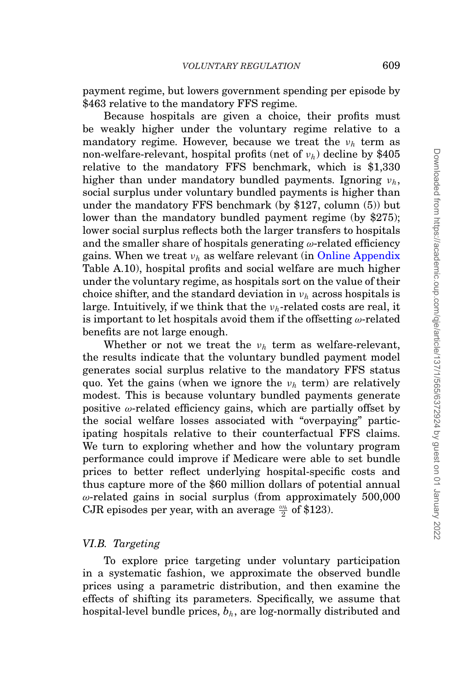payment regime, but lowers government spending per episode by \$463 relative to the mandatory FFS regime.

Because hospitals are given a choice, their profits must be weakly higher under the voluntary regime relative to a mandatory regime. However, because we treat the  $v_h$  term as non-welfare-relevant, hospital profits (net of ν*h*) decline by \$405 relative to the mandatory FFS benchmark, which is \$1,330 higher than under mandatory bundled payments. Ignoring ν*h*, social surplus under voluntary bundled payments is higher than under the mandatory FFS benchmark (by \$127, column (5)) but lower than the mandatory bundled payment regime (by \$275); lower social surplus reflects both the larger transfers to hospitals and the smaller share of hospitals generating  $\omega$ -related efficiency gains. When we treat ν*<sup>h</sup>* as welfare relevant (in [Online Appendix](file:qje.oxfordjournals.org) Table A.10), hospital profits and social welfare are much higher under the voluntary regime, as hospitals sort on the value of their choice shifter, and the standard deviation in ν*<sup>h</sup>* across hospitals is large. Intuitively, if we think that the ν*h*-related costs are real, it is important to let hospitals avoid them if the offsetting  $\omega$ -related benefits are not large enough.

Whether or not we treat the ν*<sup>h</sup>* term as welfare-relevant, the results indicate that the voluntary bundled payment model generates social surplus relative to the mandatory FFS status quo. Yet the gains (when we ignore the ν*<sup>h</sup>* term) are relatively modest. This is because voluntary bundled payments generate positive  $\omega$ -related efficiency gains, which are partially offset by the social welfare losses associated with "overpaying" participating hospitals relative to their counterfactual FFS claims. We turn to exploring whether and how the voluntary program performance could improve if Medicare were able to set bundle prices to better reflect underlying hospital-specific costs and thus capture more of the \$60 million dollars of potential annual  $\omega$ -related gains in social surplus (from approximately 500,000  $\rm CJR$  episodes per year, with an average  $\frac{\omega_h}{2}$  of \$123).

#### *VI.B. Targeting*

To explore price targeting under voluntary participation in a systematic fashion, we approximate the observed bundle prices using a parametric distribution, and then examine the effects of shifting its parameters. Specifically, we assume that hospital-level bundle prices,  $b_h$ , are log-normally distributed and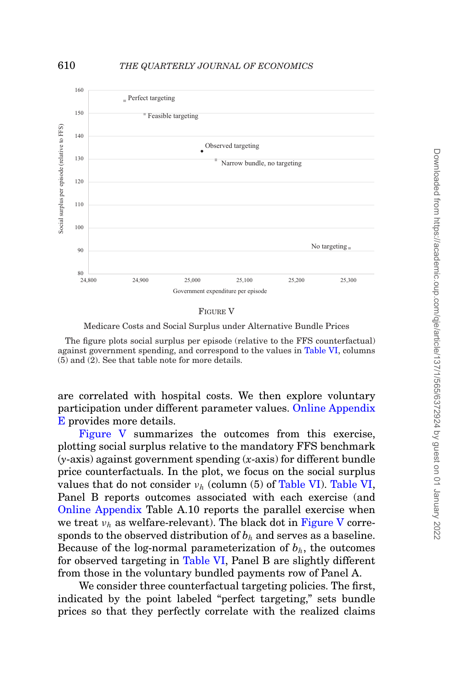<span id="page-45-0"></span>

FIGURE V

Medicare Costs and Social Surplus under Alternative Bundle Prices

The figure plots social surplus per episode (relative to the FFS counterfactual) against government spending, and correspond to the values in [Table VI,](#page-42-0) columns (5) and (2). See that table note for more details.

are correlated with hospital costs. We then explore voluntary participation under different parameter values. [Online Appendix](file:qje.oxfordjournals.org) [E](file:qje.oxfordjournals.org) provides more details.

[Figure V](#page-45-0) summarizes the outcomes from this exercise, plotting social surplus relative to the mandatory FFS benchmark (*y*-axis) against government spending (*x*-axis) for different bundle price counterfactuals. In the plot, we focus on the social surplus values that do not consider  $v_h$  (column (5) of [Table VI\)](#page-42-0). [Table VI,](#page-42-0) Panel B reports outcomes associated with each exercise (and [Online Appendix](file:qje.oxfordjournals.org) Table A.10 reports the parallel exercise when we treat  $\nu_h$  as welfare-relevant). The black dot in [Figure V](#page-45-0) corresponds to the observed distribution of  $b<sub>h</sub>$  and serves as a baseline. Because of the log-normal parameterization of  $b<sub>h</sub>$ , the outcomes for observed targeting in [Table VI,](#page-42-0) Panel B are slightly different from those in the voluntary bundled payments row of Panel A.

We consider three counterfactual targeting policies. The first, indicated by the point labeled "perfect targeting," sets bundle prices so that they perfectly correlate with the realized claims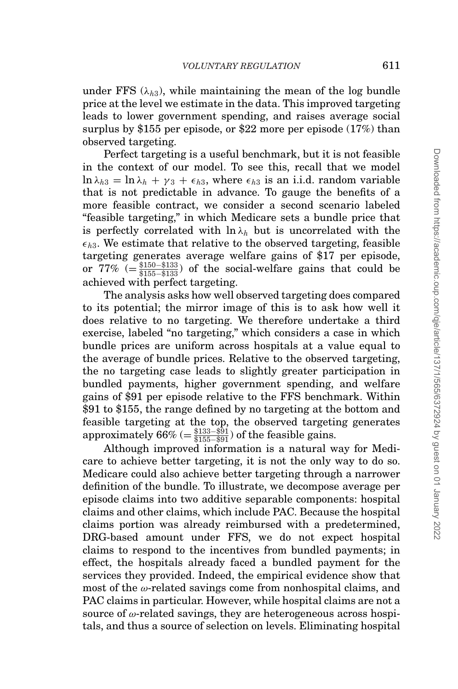under FFS  $(\lambda_{h3})$ , while maintaining the mean of the log bundle price at the level we estimate in the data. This improved targeting leads to lower government spending, and raises average social surplus by \$155 per episode, or \$22 more per episode (17%) than observed targeting.

Perfect targeting is a useful benchmark, but it is not feasible in the context of our model. To see this, recall that we model  $\ln \lambda_{h3} = \ln \lambda_h + \gamma_3 + \epsilon_{h3}$ , where  $\epsilon_{h3}$  is an i.i.d. random variable that is not predictable in advance. To gauge the benefits of a more feasible contract, we consider a second scenario labeled "feasible targeting," in which Medicare sets a bundle price that is perfectly correlated with  $\ln \lambda_h$  but is uncorrelated with the  $\epsilon_{h3}$ . We estimate that relative to the observed targeting, feasible targeting generates average welfare gains of \$17 per episode, or  $77\%$  (=  $\frac{$150 - $133}{ $155 - $133}$ ) of the social-welfare gains that could be achieved with perfect targeting.

The analysis asks how well observed targeting does compared to its potential; the mirror image of this is to ask how well it does relative to no targeting. We therefore undertake a third exercise, labeled "no targeting," which considers a case in which bundle prices are uniform across hospitals at a value equal to the average of bundle prices. Relative to the observed targeting, the no targeting case leads to slightly greater participation in bundled payments, higher government spending, and welfare gains of \$91 per episode relative to the FFS benchmark. Within \$91 to \$155, the range defined by no targeting at the bottom and feasible targeting at the top, the observed targeting generates approximately  $66\%$  (=  $\frac{$133- $91}{ $155- $91}$ ) of the feasible gains.

Although improved information is a natural way for Medicare to achieve better targeting, it is not the only way to do so. Medicare could also achieve better targeting through a narrower definition of the bundle. To illustrate, we decompose average per episode claims into two additive separable components: hospital claims and other claims, which include PAC. Because the hospital claims portion was already reimbursed with a predetermined, DRG-based amount under FFS, we do not expect hospital claims to respond to the incentives from bundled payments; in effect, the hospitals already faced a bundled payment for the services they provided. Indeed, the empirical evidence show that most of the  $\omega$ -related savings come from nonhospital claims, and PAC claims in particular. However, while hospital claims are not a source of  $\omega$ -related savings, they are heterogeneous across hospitals, and thus a source of selection on levels. Eliminating hospital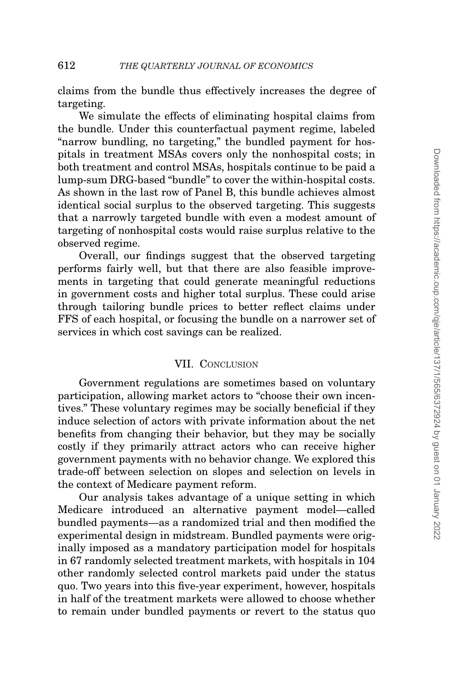claims from the bundle thus effectively increases the degree of targeting.

We simulate the effects of eliminating hospital claims from the bundle. Under this counterfactual payment regime, labeled "narrow bundling, no targeting," the bundled payment for hospitals in treatment MSAs covers only the nonhospital costs; in both treatment and control MSAs, hospitals continue to be paid a lump-sum DRG-based "bundle" to cover the within-hospital costs. As shown in the last row of Panel B, this bundle achieves almost identical social surplus to the observed targeting. This suggests that a narrowly targeted bundle with even a modest amount of targeting of nonhospital costs would raise surplus relative to the observed regime.

Overall, our findings suggest that the observed targeting performs fairly well, but that there are also feasible improvements in targeting that could generate meaningful reductions in government costs and higher total surplus. These could arise through tailoring bundle prices to better reflect claims under FFS of each hospital, or focusing the bundle on a narrower set of services in which cost savings can be realized.

# VII. CONCLUSION

Government regulations are sometimes based on voluntary participation, allowing market actors to "choose their own incentives." These voluntary regimes may be socially beneficial if they induce selection of actors with private information about the net benefits from changing their behavior, but they may be socially costly if they primarily attract actors who can receive higher government payments with no behavior change. We explored this trade-off between selection on slopes and selection on levels in the context of Medicare payment reform.

Our analysis takes advantage of a unique setting in which Medicare introduced an alternative payment model—called bundled payments—as a randomized trial and then modified the experimental design in midstream. Bundled payments were originally imposed as a mandatory participation model for hospitals in 67 randomly selected treatment markets, with hospitals in 104 other randomly selected control markets paid under the status quo. Two years into this five-year experiment, however, hospitals in half of the treatment markets were allowed to choose whether to remain under bundled payments or revert to the status quo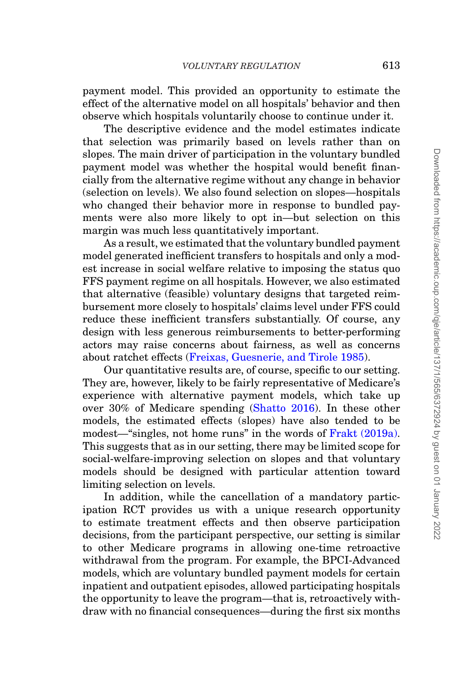payment model. This provided an opportunity to estimate the effect of the alternative model on all hospitals' behavior and then observe which hospitals voluntarily choose to continue under it.

The descriptive evidence and the model estimates indicate that selection was primarily based on levels rather than on slopes. The main driver of participation in the voluntary bundled payment model was whether the hospital would benefit financially from the alternative regime without any change in behavior (selection on levels). We also found selection on slopes—hospitals who changed their behavior more in response to bundled payments were also more likely to opt in—but selection on this margin was much less quantitatively important.

As a result, we estimated that the voluntary bundled payment model generated inefficient transfers to hospitals and only a modest increase in social welfare relative to imposing the status quo FFS payment regime on all hospitals. However, we also estimated that alternative (feasible) voluntary designs that targeted reimbursement more closely to hospitals' claims level under FFS could reduce these inefficient transfers substantially. Of course, any design with less generous reimbursements to better-performing actors may raise concerns about fairness, as well as concerns about ratchet effects [\(Freixas, Guesnerie, and Tirole 1985\)](#page-51-15).

Our quantitative results are, of course, specific to our setting. They are, however, likely to be fairly representative of Medicare's experience with alternative payment models, which take up over 30% of Medicare spending [\(Shatto 2016\)](#page-53-3). In these other models, the estimated effects (slopes) have also tended to be modest—"singles, not home runs" in the words of [Frakt \(2019a\).](#page-51-16) This suggests that as in our setting, there may be limited scope for social-welfare-improving selection on slopes and that voluntary models should be designed with particular attention toward limiting selection on levels.

In addition, while the cancellation of a mandatory participation RCT provides us with a unique research opportunity to estimate treatment effects and then observe participation decisions, from the participant perspective, our setting is similar to other Medicare programs in allowing one-time retroactive withdrawal from the program. For example, the BPCI-Advanced models, which are voluntary bundled payment models for certain inpatient and outpatient episodes, allowed participating hospitals the opportunity to leave the program—that is, retroactively withdraw with no financial consequences—during the first six months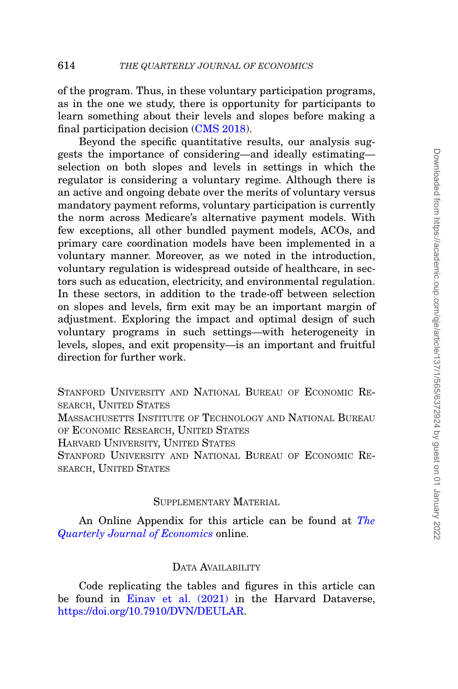learn something about their levels and slopes before making a

final participation decision [\(CMS 2018\)](#page-50-14). Beyond the specific quantitative results, our analysis suggests the importance of considering—and ideally estimating selection on both slopes and levels in settings in which the regulator is considering a voluntary regime. Although there is an active and ongoing debate over the merits of voluntary versus mandatory payment reforms, voluntary participation is currently the norm across Medicare's alternative payment models. With few exceptions, all other bundled payment models, ACOs, and primary care coordination models have been implemented in a voluntary manner. Moreover, as we noted in the introduction, voluntary regulation is widespread outside of healthcare, in sectors such as education, electricity, and environmental regulation. In these sectors, in addition to the trade-off between selection on slopes and levels, firm exit may be an important margin of adjustment. Exploring the impact and optimal design of such voluntary programs in such settings—with heterogeneity in levels, slopes, and exit propensity—is an important and fruitful direction for further work.

STANFORD UNIVERSITY AND NATIONAL BUREAU OF ECONOMIC RE-SEARCH, UNITED STATES MASSACHUSETTS INSTITUTE OF TECHNOLOGY AND NATIONAL BUREAU OF ECONOMIC RESEARCH, UNITED STATES HARVARD UNIVERSITY, UNITED STATES STANFORD UNIVERSITY AND NATIONAL BUREAU OF ECONOMIC RE-SEARCH, UNITED STATES

# SUPPLEMENTARY MATERIAL

An Online Appendix for this article can be found at *[The](https://academic.oup.com/qje/article-lookup/doi/10.1093/qje/qjab035#supplementary-data) [Quarterly Journal of Economics](https://academic.oup.com/qje/article-lookup/doi/10.1093/qje/qjab035#supplementary-data)* online.

# DATA AVAILABILITY

Code replicating the tables and figures in this article can be found in [Einav et al. \(2021\)](#page-51-17) in the Harvard Dataverse, [https://doi.org/10.7910/DVN/DEULAR.](https://doi.org/10.7910/DVN/DEULAR)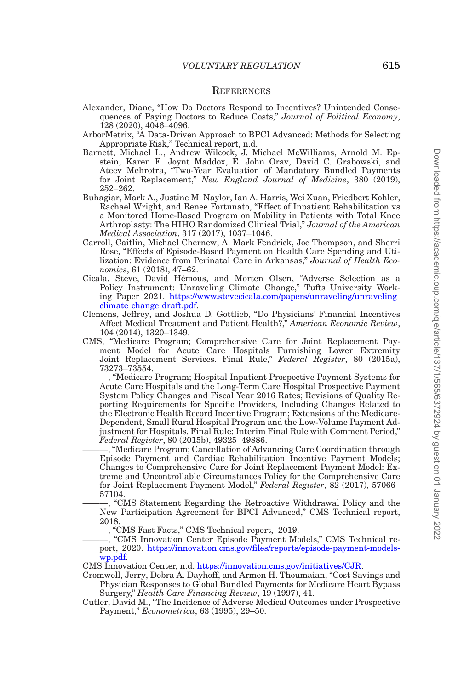#### **REFERENCES**

- <span id="page-50-12"></span>Alexander, Diane, "How Do Doctors Respond to Incentives? Unintended Consequences of Paying Doctors to Reduce Costs," *Journal of Political Economy*, 128 (2020), 4046–4096.
- <span id="page-50-13"></span>ArborMetrix, "A Data-Driven Approach to BPCI Advanced: Methods for Selecting Appropriate Risk," Technical report, n.d.
- <span id="page-50-1"></span>Barnett, Michael L., Andrew Wilcock, J. Michael McWilliams, Arnold M. Epstein, Karen E. Joynt Maddox, E. John Orav, David C. Grabowski, and Ateev Mehrotra, "Two-Year Evaluation of Mandatory Bundled Payments for Joint Replacement," *New England Journal of Medicine*, 380 (2019), 252–262.
- <span id="page-50-11"></span>Buhagiar, Mark A., Justine M. Naylor, Ian A. Harris, Wei Xuan, Friedbert Kohler, Rachael Wright, and Renee Fortunato, "Effect of Inpatient Rehabilitation vs a Monitored Home-Based Program on Mobility in Patients with Total Knee Arthroplasty: The HIHO Randomized Clinical Trial," *Journal of the American Medical Association*, 317 (2017), 1037–1046.
- <span id="page-50-7"></span>Carroll, Caitlin, Michael Chernew, A. Mark Fendrick, Joe Thompson, and Sherri Rose, "Effects of Episode-Based Payment on Health Care Spending and Utilization: Evidence from Perinatal Care in Arkansas," *Journal of Health Economics*, 61 (2018), 47–62.
- <span id="page-50-3"></span>Cicala, Steve, David Hemous, and Morten Olsen, "Adverse Selection as a ´ Policy Instrument: Unraveling Climate Change," Tufts University Working Paper 2021. [https://www.stevecicala.com/papers/unraveling/unraveling](https://www.stevecicala.com/papers/unraveling/unraveling_climate_change_draft.pdf) climate change [draft.pdf.](https://www.stevecicala.com/papers/unraveling/unraveling_climate_change_draft.pdf)
- <span id="page-50-5"></span>Clemens, Jeffrey, and Joshua D. Gottlieb, "Do Physicians' Financial Incentives Affect Medical Treatment and Patient Health?," *American Economic Review*, 104 (2014), 1320–1349.
- <span id="page-50-10"></span><span id="page-50-9"></span>CMS, "Medicare Program; Comprehensive Care for Joint Replacement Payment Model for Acute Care Hospitals Furnishing Lower Extremity Joint Replacement Services. Final Rule," *Federal Register*, 80 (2015a), 73273–73554.
	- ———, "Medicare Program; Hospital Inpatient Prospective Payment Systems for Acute Care Hospitals and the Long-Term Care Hospital Prospective Payment System Policy Changes and Fiscal Year 2016 Rates; Revisions of Quality Reporting Requirements for Specific Providers, Including Changes Related to the Electronic Health Record Incentive Program; Extensions of the Medicare-Dependent, Small Rural Hospital Program and the Low-Volume Payment Adjustment for Hospitals. Final Rule; Interim Final Rule with Comment Period," *Federal Register*, 80 (2015b), 49325–49886.

<span id="page-50-0"></span>-, "Medicare Program; Cancellation of Advancing Care Coordination through Episode Payment and Cardiac Rehabilitation Incentive Payment Models; Changes to Comprehensive Care for Joint Replacement Payment Model: Extreme and Uncontrollable Circumstances Policy for the Comprehensive Care for Joint Replacement Payment Model," *Federal Register*, 82 (2017), 57066– 57104.

<span id="page-50-14"></span>———, "CMS Statement Regarding the Retroactive Withdrawal Policy and the New Participation Agreement for BPCI Advanced," CMS Technical report, 2018.

-, "CMS Fast Facts," CMS Technical report, 2019.

- <span id="page-50-8"></span><span id="page-50-2"></span>———, "CMS Innovation Center Episode Payment Models," CMS Technical report, 2020. [https://innovation.cms.gov/files/reports/episode-payment-models](https://innovation.cms.gov/files/reports/episode-payment-models-wp.pdf)[wp.pdf.](https://innovation.cms.gov/files/reports/episode-payment-models-wp.pdf)
- CMS Innovation Center, n.d. [https://innovation.cms.gov/initiatives/CJR.](https://innovation.cms.gov/initiatives/CJR)
- <span id="page-50-6"></span>Cromwell, Jerry, Debra A. Dayhoff, and Armen H. Thoumaian, "Cost Savings and Physician Responses to Global Bundled Payments for Medicare Heart Bypass Surgery," *Health Care Financing Review*, 19 (1997), 41.
- <span id="page-50-4"></span>Cutler, David M., "The Incidence of Adverse Medical Outcomes under Prospective Payment," *Econometrica*, 63 (1995), 29–50.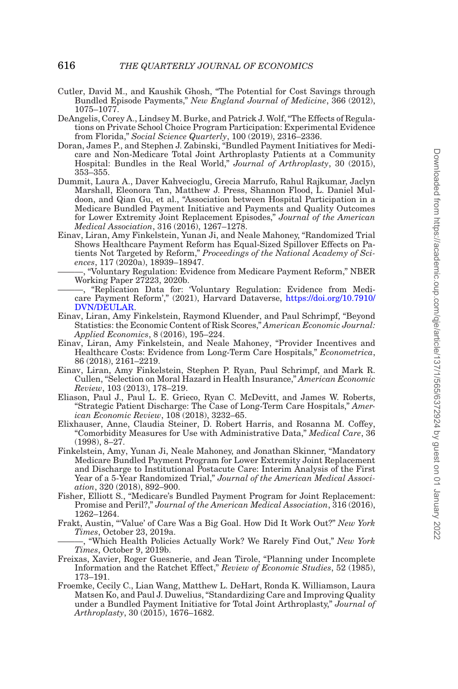- <span id="page-51-11"></span>Cutler, David M., and Kaushik Ghosh, "The Potential for Cost Savings through Bundled Episode Payments," *New England Journal of Medicine*, 366 (2012), 1075–1077.
- <span id="page-51-2"></span>DeAngelis, Corey A., Lindsey M. Burke, and Patrick J. Wolf, "The Effects of Regulations on Private School Choice Program Participation: Experimental Evidence from Florida," *Social Science Quarterly*, 100 (2019), 2316–2336.
- <span id="page-51-8"></span>Doran, James P., and Stephen J. Zabinski, "Bundled Payment Initiatives for Medicare and Non-Medicare Total Joint Arthroplasty Patients at a Community Hospital: Bundles in the Real World," *Journal of Arthroplasty*, 30 (2015), 353–355.
- <span id="page-51-10"></span>Dummit, Laura A., Daver Kahvecioglu, Grecia Marrufo, Rahul Rajkumar, Jaclyn Marshall, Eleonora Tan, Matthew J. Press, Shannon Flood, L. Daniel Muldoon, and Qian Gu, et al., "Association between Hospital Participation in a Medicare Bundled Payment Initiative and Payments and Quality Outcomes for Lower Extremity Joint Replacement Episodes," *Journal of the American Medical Association*, 316 (2016), 1267–1278.
- <span id="page-51-7"></span>Einav, Liran, Amy Finkelstein, Yunan Ji, and Neale Mahoney, "Randomized Trial Shows Healthcare Payment Reform has Equal-Sized Spillover Effects on Patients Not Targeted by Reform," *Proceedings of the National Academy of Sciences*, 117 (2020a), 18939–18947.
	- ———, "Voluntary Regulation: Evidence from Medicare Payment Reform," NBER Working Paper 27223, 2020b.
- <span id="page-51-17"></span><span id="page-51-13"></span>———, "Replication Data for: 'Voluntary Regulation: Evidence from Medicare Payment Reform'," (2021), Harvard Dataverse, [https://doi.org/10.7910/](https://doi.org/10.7910/DVN/DEULAR) [DVN/DEULAR.](https://doi.org/10.7910/DVN/DEULAR)
- <span id="page-51-6"></span>Einav, Liran, Amy Finkelstein, Raymond Kluender, and Paul Schrimpf, "Beyond Statistics: the Economic Content of Risk Scores," *American Economic Journal: Applied Economics*, 8 (2016), 195–224.
- <span id="page-51-3"></span>Einav, Liran, Amy Finkelstein, and Neale Mahoney, "Provider Incentives and Healthcare Costs: Evidence from Long-Term Care Hospitals," *Econometrica*, 86 (2018), 2161–2219.
- <span id="page-51-5"></span>Einav, Liran, Amy Finkelstein, Stephen P. Ryan, Paul Schrimpf, and Mark R. Cullen, "Selection on Moral Hazard in Health Insurance," *American Economic Review*, 103 (2013), 178–219.
- <span id="page-51-4"></span>Eliason, Paul J., Paul L. E. Grieco, Ryan C. McDevitt, and James W. Roberts, "Strategic Patient Discharge: The Case of Long-Term Care Hospitals," *American Economic Review*, 108 (2018), 3232–65.
- <span id="page-51-14"></span>Elixhauser, Anne, Claudia Steiner, D. Robert Harris, and Rosanna M. Coffey, "Comorbidity Measures for Use with Administrative Data," *Medical Care*, 36 (1998), 8–27.
- <span id="page-51-1"></span>Finkelstein, Amy, Yunan Ji, Neale Mahoney, and Jonathan Skinner, "Mandatory Medicare Bundled Payment Program for Lower Extremity Joint Replacement and Discharge to Institutional Postacute Care: Interim Analysis of the First Year of a 5-Year Randomized Trial," Journal of the American Medical Associ*ation*, 320 (2018), 892–900.
- <span id="page-51-12"></span>Fisher, Elliott S., "Medicare's Bundled Payment Program for Joint Replacement: Promise and Peril?," *Journal of the American Medical Association*, 316 (2016), 1262–1264.
- <span id="page-51-16"></span>Frakt, Austin, "'Value' of Care Was a Big Goal. How Did It Work Out?" *New York Times*, October 23, 2019a.
- <span id="page-51-0"></span>———, "Which Health Policies Actually Work? We Rarely Find Out," *New York Times*, October 9, 2019b.
- <span id="page-51-15"></span>Freixas, Xavier, Roger Guesnerie, and Jean Tirole, "Planning under Incomplete Information and the Ratchet Effect," *Review of Economic Studies*, 52 (1985), 173–191.
- <span id="page-51-9"></span>Froemke, Cecily C., Lian Wang, Matthew L. DeHart, Ronda K. Williamson, Laura Matsen Ko, and Paul J. Duwelius, "Standardizing Care and Improving Quality under a Bundled Payment Initiative for Total Joint Arthroplasty," *Journal of Arthroplasty*, 30 (2015), 1676–1682.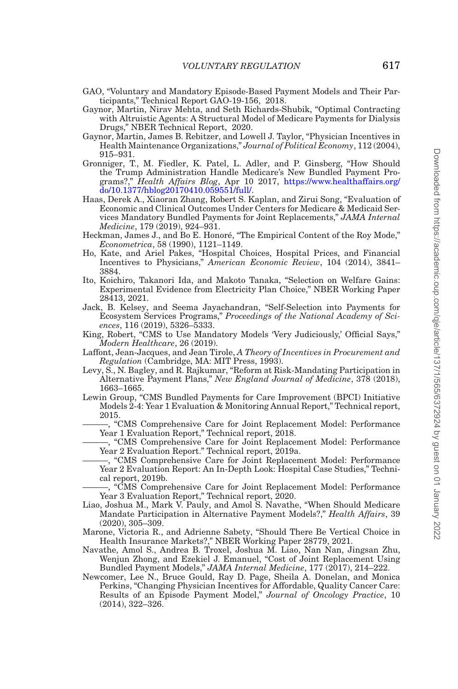- <span id="page-52-2"></span>GAO, "Voluntary and Mandatory Episode-Based Payment Models and Their Participants," Technical Report GAO-19-156, 2018.
- <span id="page-52-13"></span>Gaynor, Martin, Nirav Mehta, and Seth Richards-Shubik, "Optimal Contracting with Altruistic Agents: A Structural Model of Medicare Payments for Dialysis Drugs," NBER Technical Report, 2020.
- <span id="page-52-11"></span>Gaynor, Martin, James B. Rebitzer, and Lowell J. Taylor, "Physician Incentives in Health Maintenance Organizations," *Journal of Political Economy*, 112 (2004), 915–931.
- <span id="page-52-3"></span>Gronniger, T., M. Fiedler, K. Patel, L. Adler, and P. Ginsberg, "How Should the Trump Administration Handle Medicare's New Bundled Payment Programs?," *Health Affairs Blog*, Apr 10 2017, [https://www.healthaffairs.org/](https://www.healthaffairs.org/do/10.1377/hblog20170410.059551/full/) [do/10.1377/hblog20170410.059551/full/.](https://www.healthaffairs.org/do/10.1377/hblog20170410.059551/full/)
- <span id="page-52-8"></span>Haas, Derek A., Xiaoran Zhang, Robert S. Kaplan, and Zirui Song, "Evaluation of Economic and Clinical Outcomes Under Centers for Medicare & Medicaid Services Mandatory Bundled Payments for Joint Replacements," *JAMA Internal Medicine*, 179 (2019), 924–931.
- <span id="page-52-0"></span>Heckman, James J., and Bo E. Honoré, "The Empirical Content of the Roy Mode," *Econometrica*, 58 (1990), 1121–1149.
- <span id="page-52-12"></span>Ho, Kate, and Ariel Pakes, "Hospital Choices, Hospital Prices, and Financial Incentives to Physicians," *American Economic Review*, 104 (2014), 3841– 3884.
- <span id="page-52-10"></span>Ito, Koichiro, Takanori Ida, and Makoto Tanaka, "Selection on Welfare Gains: Experimental Evidence from Electricity Plan Choice," NBER Working Paper 28413, 2021.
- <span id="page-52-9"></span>Jack, B. Kelsey, and Seema Jayachandran, "Self-Selection into Payments for Ecosystem Services Programs," *Proceedings of the National Academy of Sciences*, 116 (2019), 5326–5333.
- <span id="page-52-5"></span>King, Robert, "CMS to Use Mandatory Models 'Very Judiciously,' Official Says," *Modern Healthcare*, 26 (2019).
- <span id="page-52-1"></span>Laffont, Jean-Jacques, and Jean Tirole, *A Theory of Incentives in Procurement and Regulation* (Cambridge, MA: MIT Press, 1993).
- <span id="page-52-4"></span>Levy, S., N. Bagley, and R. Rajkumar, "Reform at Risk-Mandating Participation in Alternative Payment Plans," *New England Journal of Medicine*, 378 (2018), 1663–1665.
- <span id="page-52-19"></span><span id="page-52-17"></span><span id="page-52-7"></span>Lewin Group, "CMS Bundled Payments for Care Improvement (BPCI) Initiative Models 2-4: Year 1 Evaluation & Monitoring Annual Report," Technical report, 2015.
	- ———, "CMS Comprehensive Care for Joint Replacement Model: Performance Year 1 Evaluation Report," Technical report, 2018.
		- ———, "CMS Comprehensive Care for Joint Replacement Model: Performance Year 2 Evaluation Report." Technical report, 2019a.
	- ———, "CMS Comprehensive Care for Joint Replacement Model: Performance Year 2 Evaluation Report: An In-Depth Look: Hospital Case Studies," Technical report, 2019b.
	- ———, "CMS Comprehensive Care for Joint Replacement Model: Performance Year 3 Evaluation Report," Technical report, 2020.
- <span id="page-52-20"></span><span id="page-52-18"></span><span id="page-52-6"></span>Liao, Joshua M., Mark V. Pauly, and Amol S. Navathe, "When Should Medicare Mandate Participation in Alternative Payment Models?," *Health Affairs*, 39 (2020), 305–309.
- <span id="page-52-14"></span>Marone, Victoria R., and Adrienne Sabety, "Should There Be Vertical Choice in Health Insurance Markets?," NBER Working Paper 28779, 2021.
- <span id="page-52-16"></span>Navathe, Amol S., Andrea B. Troxel, Joshua M. Liao, Nan Nan, Jingsan Zhu, Wenjun Zhong, and Ezekiel J. Emanuel, "Cost of Joint Replacement Using Bundled Payment Models," *JAMA Internal Medicine*, 177 (2017), 214–222.
- <span id="page-52-15"></span>Newcomer, Lee N., Bruce Gould, Ray D. Page, Sheila A. Donelan, and Monica Perkins, "Changing Physician Incentives for Affordable, Quality Cancer Care: Results of an Episode Payment Model," *Journal of Oncology Practice*, 10 (2014), 322–326.